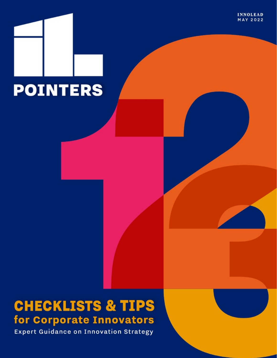**INNOLEAD MAY 2022** 



# **CHECKLISTS & TIPS** for Corporate Innovators

**Expert Guidance on Innovation Strategy**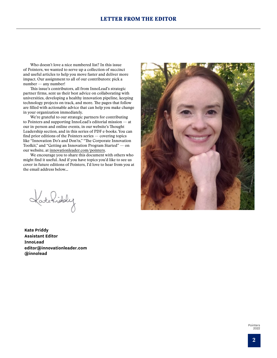### LETTER FROM THE EDITOR

Who doesn't love a nice numbered list? In this issue of Pointers, we wanted to serve up a collection of succinct and useful articles to help you move faster and deliver more impact. Our assignment to all of our contributors: pick a number — any number!

This issue's contributors, all from InnoLead's strategic partner firms, sent us their best advice on collaborating with universities, developing a healthy innovation pipeline, keeping technology projects on track, and more. The pages that follow are filled with actionable advice that can help you make change in your organization immediately.

We're grateful to our strategic partners for contributing to Pointers and supporting InnoLead's editorial mission — at our in-person and online events, in our website's Thought Leadership section, and in this series of PDF e-books. You can find prior editions of the Pointers series — covering topics like "Innovation Do's and Don'ts," "The Corporate Innovation Toolkit," and "Getting an Innovation Program Started" — on our website, at [innovationleader.com/pointers.](http://innovationleader.com/pointers)

We encourage you to share this document with others who might find it useful. And if you have topics you'd like to see us cover in future editions of Pointers, I'd love to hear from you at the email address below...

**Photo of Editor** 

Katchiddy

**Kate Priddy Assistant Editor InnoLead editor@innovationleader.com @innolead**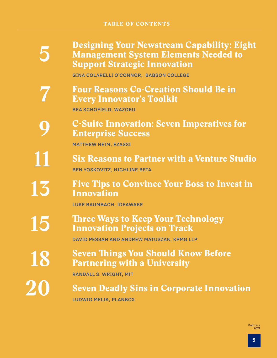[Designing Your Newstream Capability: Eight](#page-4-0)  [Management System Elements Needed to](#page-4-0)  [Support Strategic Innovation](#page-4-0)

GINA COLARELLI O'CONNOR, BABSON COLLEGE

Four Reasons Co-Creation Should Be in Every Innovator's Toolkit

BEA SCHOFIELD, WAZOKU

**5**

**7**

**15**

**18**

**20**

[C-Suite Innovation: Seven Imperatives for](#page-8-0)  [Enterprise Success](#page-8-0) **9**

MATTHEW HEIM, EZASSI

- [Six Reasons to Partner with a Venture Studio](#page-10-0) BEN YOSKOVITZ, HIGHLINE BETA **11**
- [Five Tips to Convince Your Boss to Invest in](#page-12-0)  [Innovation](#page-12-0) **13**

LUKE BAUMBACH, IDEAWAKE

### [Three Ways to Keep Your Technology](#page-14-0)  [Innovation Projects on Track](#page-14-0)

DAVID PESSAH AND ANDREW MATUSZAK, KPMG LLP

[Seven Things You Should Know Before](#page-17-0)  [Partnering with a University](#page-17-0)

RANDALL S. WRIGHT, MIT

[Seven Deadly Sins in Corporate Innovation](#page-19-0)  LUDWIG MELIK, PLANBOX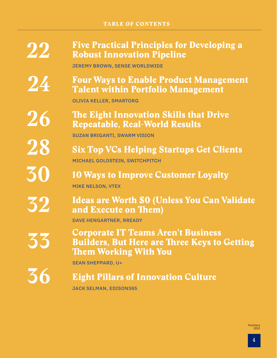### TABLE OF CONTENTS

**22**

**26**

**28**

**30**

**32**

**33**

**36**

### [Five Practical Principles for Developing a](#page-21-0)  [Robust Innovation Pipeline](#page-21-0)

JEREMY BROWN, SENSE WORLDWIDE

### [Four Ways to Enable Product Management](#page-23-0)  [Talent within Portfolio Management](#page-23-0) **24**

OLIVIA KELLER, SMARTORG

[The Eight Innovation Skills that Drive](#page-25-0)  [Repeatable, Real-World Results](#page-25-0)

SUZAN BRIGANTI, SWARM VISION

[Six Top VCs Helping Startups Get Clients](#page-27-0) MICHAEL GOLDSTEIN, SWITCHPITCH

[10 Ways to Improve Customer Loyalty](#page-29-0) MIKE NELSON, VTEX

[Ideas are Worth \\$0 \(Unless You Can Validate](#page-31-0)  [and Execute on Them\)](#page-31-0)

DAVE HENGARTNER, RREADY

Corporate IT Teams Aren't Business Builders, But Here are Three Keys to Getting Them Working With You

SEAN SHEPPARD, U+

### [Eight Pillars of Innovation Culture](#page-35-0)

JACK SELMAN, EDISON365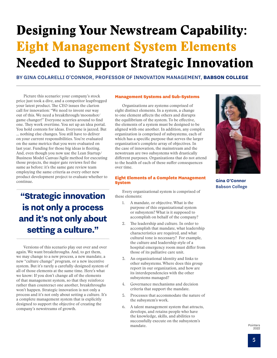# <span id="page-4-0"></span>Designing Your Newstream Capability: Eight Management System Elements Needed to Support Strategic Innovation

BY GINA COLARELLI O'CONNOR, PROFESSOR OF INNOVATION MANAGEMENT, **BABSON COLLEGE**

Picture this scenario: your company's stock price just took a dive, and a competitor leapfrogged your latest product. The CEO issues the clarion call for innovation: "We need to invent our way out of this. We need a breakthrough/moonshot/ game changer!" Everyone scurries around to find one. They work overtime. You set up an idea portal. You hold contests for ideas. Everyone is jazzed. But … nothing else changes. You still have to deliver on your current responsibilities. You're evaluated on the same metrics that you were evaluated on last year. Funding for those big ideas is fleeting. And, even though you now use the Lean Startup/ Business Model Canvas/Agile method for executing those projects, the major gate reviews feel the same as before: it's the same gate review team employing the same criteria as every other new product development project to evaluate whether to continue.

**"Strategic innovation is not only a process and it's not only about setting a culture."**

Versions of this scenario play out over and over again. We want breakthroughs. And, to get them, we may change to a new process, a new mandate, a new "culture change" program, or a new incentive system. But it's rarely a carefully-designed system of all of those elements at the same time. Here's what we know: If you don't change all of the elements of that management system, so that they reinforce rather than counteract one another, breakthroughs won't happen. Strategic innovation is not only a process and it's not only about setting a culture. It's a complete management system that is explicitly designed to support the objective of creating the company's newstreams of growth.

#### Management Systems and Sub-Systems

Organizations are systems comprised of eight distinct elements. In a system, a change to one element affects the others and disrupts the equilibrium of the system. To be effective, the elements of a system must be designed to be aligned with one another. In addition, any complex organization is comprised of subsystems, each of which has a specific purpose that serves the larger organization's complete array of objectives. In the case of innovation, the mainstream and the newstream are two subsystems with drastically different purposes. Organizations that do not attend to the health of each of these suffer consequences over time.

#### Eight Elements of a Complete Management System

Every organizational system is comprised of these elements:

- 1. A mandate, or objective. What is the purpose of this organizational system or subsystem? What is it supposed to accomplish on behalf of the company?
- 2. The leadership and culture. In order to accomplish that mandate, what leadership characteristics are required, and what cultural tone is necessary? For example, the culture and leadership style of a hospital emergency room must differ from those of its palliative care unit.
- 3. An organizational identity and links to other subsystems. Where does this group report in our organization, and how are its interdependencies with the other subsystems managed?
- 4. Governance mechanisms and decision criteria that support the mandate.
- 5. Processes that accommodate the nature of the subsystem's work.
- 6. A talent management system that attracts, develops, and retains people who have the knowledge, skills, and abilities to successfully execute on the subsystem's mandate.



**Gina O'Connor** Babson College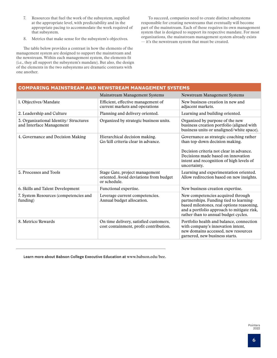- 7. Resources that fuel the work of the subsystem, supplied at the appropriate level, with predictability and in the appropriate pacing to accommodate the work required of that subsystem.
- 8. Metrics that make sense for the subsystem's objectives.

The table below provides a contrast in how the elements of the management system are designed to support the mainstream and the newstream. Within each management system, the elements fit (i.e., they all support the subsystem's mandate). But also, the design of the elements in the two subsystems are dramatic contrasts with one another.

To succeed, companies need to create distinct subsystems responsible for creating newstreams that eventually will become part of the mainstream. Each of these requires its own management system that is designed to support its respective mandate. For most organizations, the mainstream management system already exists — it's the newstream system that must be created.

| <b>COMPARING MAINSTREAM AND NEWSTREAM MANAGEMENT SYSTEMS</b>                             |                                                                                                                                                                                                                        |  |
|------------------------------------------------------------------------------------------|------------------------------------------------------------------------------------------------------------------------------------------------------------------------------------------------------------------------|--|
| <b>Mainstream Management Systems</b>                                                     | <b>Newstream Management Systems</b>                                                                                                                                                                                    |  |
| Efficient, effective management of<br>current markets and operations                     | New business creation in new and<br>adjacent markets.                                                                                                                                                                  |  |
| Planning and delivery oriented.                                                          | Learning and building oriented.                                                                                                                                                                                        |  |
| Organized by strategic business units.                                                   | Organized by purpose of the new<br>business creation portfolio (aligned with<br>business units or unaligned/white space).                                                                                              |  |
| Hierarchical decision making.<br>Go/kill criteria clear in advance.                      | Governance as strategic coaching rather<br>than top-down decision making.<br>Decision criteria not clear in advance.<br>Decisions made based on innovation<br>intent and recognition of high levels of<br>uncertainty. |  |
| Stage Gate, project management<br>oriented. Avoid deviations from budget<br>or schedule. | Learning and experimentation oriented.<br>Allow redirection based on new insights.                                                                                                                                     |  |
| Functional expertise.                                                                    | New business creation expertise.                                                                                                                                                                                       |  |
| Leverage current competencies.<br>Annual budget allocation.                              | New competencies acquired through<br>partnerships. Funding tied to learning-<br>based milestones, real options reasoning,<br>and a portfolio approach to mitigate risk,<br>rather than to annual budget cycles.        |  |
| On time delivery, satisfied customers,<br>cost containment, profit contribution.         | Portfolio health and balance, connection<br>with company's innovation intent,<br>new domains accessed, new resources<br>garnered, new business starts.                                                                 |  |
|                                                                                          |                                                                                                                                                                                                                        |  |

Learn more about Babson College Executive Education at [www](https://www.babson.edu/academics/executive-education/).babson.edu/bee.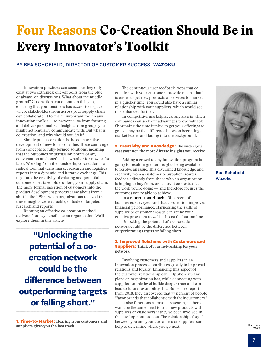# Four Reasons Co-Creation Should Be in Every Innovator's Toolkit

### BY BEA SCHOFIELD, DIRECTOR OF CUSTOMER SUCCESS, **WAZOKU**

Innovation practices can seem like they only exist at two extremes: one-off bolts from the blue or always-on discussions. What about the middle ground? Co-creation can operate in this gap, ensuring that your business has access to a space where stakeholders from across your supply chain can collaborate. It forms an important tool in any innovation toolkit — to prevent silos from forming and deliver personalized insights from groups you might not regularly communicate with. But what is co-creation, and why should you do it?

Simply put, co-creation is the collaborative development of new forms of value. These can range from concepts to fully-formed solutions, meaning that the outcomes or discussion points of any conversation are beneficial — whether for now or for later. Working from the outside-in, co-creation is a radical tool that turns market research and logistics reports into a dynamic and iterative exchange. This taps into the creativity of existing and potential customers, or stakeholders along your supply chain. The more formal insertion of customers into the product development process came about from a shift in the 1990s, when organizations realized that these insights were valuable, outside of targeted research and reports.

Running an effective co-creation method delivers four key benefits to an organization. We'll explore them in this article.

**"Unlocking the potential of a cocreation network could be the difference between outperforming targets or falling short."**

1. Time-to-Market: **Hearing from customers and suppliers gives you the fast track**

The continuous user feedback loops that cocreation with your customers provide means that it is easier to get new products or services to market in a quicker time. You could also have a similar relationship with your suppliers, which would see this enhanced further.

In competitive marketplaces, any area in which companies can seek out advantages prove valuable. Shortening the time it takes to get your offerings to go live may be the difference between becoming a market leader and fading into the background.

#### 2. Creativity and Knowledge: **The wider you cast your net, the more diverse insights you receive**

Adding a crowd to any innovation program is going to result in greater insights being available to resolve an issue. This diversified knowledge and creativity from a customer or supplier crowd is feedback directly from those who an organization is hoping to buy from, or sell to. It contextualizes the work you're doing — and therefore focuses the outcomes you're able to achieve.

In a [report from Hitachi,](http://www.hitachi.eu/sites/default/files/fields/document/sib/whitepapers/cocreatingthefuture-web-updated_17_oct.pdf) 51 percent of businesses surveyed said that co-creation improves financial performance. Harnessing the skills of supplier or customer crowds can refine your creative processes as well as boost the bottom line.

Unlocking the potential of a co-creation network could be the difference between outperforming targets or falling short.

#### 3. Improved Relations with Customers and

Suppliers: **Think of it as networking for your network**

Involving customers and suppliers in an innovation process contributes greatly to improved relations and loyalty. Enhancing this aspect of the customer relationship can help shore up any plans an organization has, while connecting with suppliers at this level builds deeper trust and can lead to future favorability. In a Bulbshare report from 2018, they discovered that 77 percent of people "favor brands that collaborate with their customers."

It also functions as market research, as there won't be the same need to trial new products with suppliers or customers if they've been involved in the development process. The relationships forged between you and your customers or suppliers can help to determine where you go next.



**Bea Schofield** Wazoku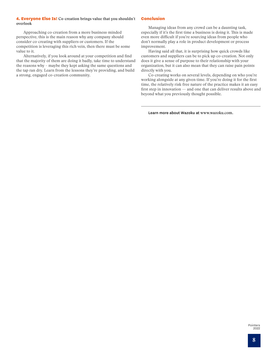#### 4. Everyone Else Is! **Co-creation brings value that you shouldn't overlook**

Approaching co-creation from a more business-minded perspective, this is the main reason why any company should consider co-creating with suppliers or customers. If the competition is leveraging this rich vein, then there must be some value to it.

Alternatively, if you look around at your competition and find that the majority of them are doing it badly, take time to understand the reasons why – maybe they kept asking the same questions and the tap ran dry. Learn from the lessons they're providing, and build a strong, engaged co-creation community.

#### Conclusion

Managing ideas from any crowd can be a daunting task, especially if it's the first time a business is doing it. This is made even more difficult if you're sourcing ideas from people who don't normally play a role in product development or process improvement.

Having said all that, it is surprising how quick crowds like customers and suppliers can be to pick up co-creation. Not only does it give a sense of purpose to their relationship with your organization, but it can also mean that they can raise pain points directly with you.

Co-creating works on several levels, depending on who you're working alongside at any given time. If you're doing it for the first time, the relatively risk-free nature of the practice makes it an easy first step in innovation — and one that can deliver results above and beyond what you previously thought possible.

Learn more about Wazoku at [www.w](http://www.wazoku.com)azoku.com.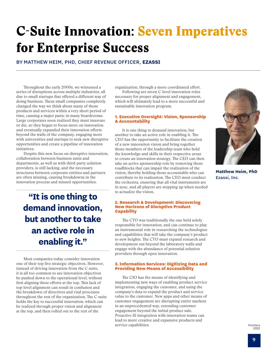# <span id="page-8-0"></span>C-Suite Innovation: Seven Imperatives for Enterprise Success

BY MATTHEW HEIM, PHD, CHIEF REVENUE OFFICER, **EZASSI**

Throughout the early 2000s, we witnessed a series of disruptions across multiple industries, all due to small startups that offered a different way of doing business. These small companies completely changed the way we think about many of those products and services within a very short period of time, causing a major panic in many boardrooms. Large corporates soon realized they must innovate or die, so they began to focus more on innovation and eventually expanded their innovation efforts beyond the walls of the company, engaging more with universities and startups to seek new disruptive opportunities and create a pipeline of innovation initiatives.

Despite this new focus on disruptive innovation, collaboration between business units and departments, as well as with third-party solution providers, is still lacking, and the necessary structures between corporate entities and partners are often missing, causing breakdowns in the innovation process and missed opportunities.

**"It is one thing to demand innovation, but another to take an active role in enabling it."**

Most companies today consider innovation one of their top five strategic objectives. However, instead of driving innovation from the C-suite, it is all too common to see innovation objectives be pushed down to the operational level, without first aligning these efforts at the top. This lack of top-level alignment can result in confusion and the breakdown of directives and vital processes throughout the rest of the organization. The C-suite holds the key to successful innovation, which can be realized through proper vision and alignment at the top, and then rolled out to the rest of the

organization, through a more coordinated effort. Following are seven C-level innovation roles

necessary for proper alignment and engagement, which will ultimately lead to a more successful and sustainable innovation program.

#### 1. Executive Oversight: Vision, Sponsorship & Accountability

It is one thing to demand innovation, but another to take an active role in enabling it. The CEO has the opportunity to facilitate the creation of a new innovation vision and bring together those members of the leadership team who hold the knowledge and skills in their respective areas to create an innovation strategy. The CEO can then take an active sponsorship role by removing those roadblocks that can impair the realization of the vision, thereby holding those accountable who can contribute to its realization. The CEO must conduct the orchestra, ensuring that all vital instruments are in sync, and all players are stepping up when needed to actualize the vision.

#### 2. Research & Development: Discovering New Horizons of Disruptive Product **Capability**

The CTO was traditionally the one held solely responsible for innovation, and can continue to play an instrumental role in researching the technologies and capabilities that will take the company's product to new heights. The CTO must expand research and development out beyond the laboratory walls and engage with the abundance of potential solution providers through open innovation.

#### 3. Information Services: Digitizing Data and Providing New Means of Accessibility

The CIO has the means of identifying and implementing new ways of enabling product-service integration, engaging the customer, and using the company's data to expand the product and service value to the customer. New apps and other means of customer engagement are disrupting entire markets in an unprecedented way, extending customer engagement beyond the initial product sale. Proactive IS integration with innovation teams can lead to more creative and expansive products and service capabilities.



**Matthew Heim, PhD** Ezassi, Inc.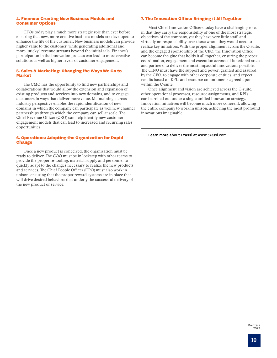#### 4. Finance: Creating New Business Models and Consumer Options

CFOs today play a much more strategic role than ever before, ensuring that new, more creative business models are developed to enhance the life of the customer. New business models can provide higher value to the customer, while generating additional and more "sticky" revenue streams beyond the initial sale. Finance's participation in the innovation process can lead to more creative solutions as well as higher levels of customer engagement.

#### 5. Sales & Marketing: Changing the Ways We Go to Market

The CMO has the opportunity to find new partnerships and collaborations that would allow the extension and expansion of existing products and services into new domains, and to engage customers in ways that deliver more value. Maintaining a crossindustry perspective enables the rapid identification of new domains in which the company can participate as well new channel partnerships through which the company can sell at scale. The Chief Revenue Officer (CRO) can help identify new customer engagement models that can lead to increased and recurring sales opportunities.

#### 6. Operations: Adapting the Organization for Rapid Change

Once a new product is conceived, the organization must be ready to deliver. The COO must be in lockstep with other teams to provide the proper re-tooling, material supply and personnel to quickly adapt to the changes necessary to realize the new products and services. The Chief People Officer (CPO) must also work in unison, ensuring that the proper reward systems are in place that will drive desired behaviors that underly the successful delivery of the new product or service.

#### 7. The Innovation Office: Bringing it All Together

Most Chief Innovation Officers today have a challenging role, in that they carry the responsibility of one of the most strategic objectives of the company, yet they have very little staff, and virtually no responsibility over those whom they would need to realize key initiatives. With the proper alignment across the C-suite, and the engaged sponsorship of the CEO, the Innovation Office can become the glue that holds it all together, ensuring the proper coordination, engagement and execution across all functional areas and partners, to deliver the most impactful innovations possible. The CINO must have the support and power, granted and assured by the CEO, to engage with other corporate entities, and expect results based on KPIs and resource commitments agreed upon within the C-suite.

Once alignment and vision are achieved across the C-suite, other operational processes, resource assignments, and KPIs can be rolled out under a single unified innovation strategy. Innovation initiatives will become much more coherent, allowing the entire company to work in unison, achieving the most profound innovations imaginable.

Learn more about Ezassi at [www.ezassi.com](http://www.ezassi.com).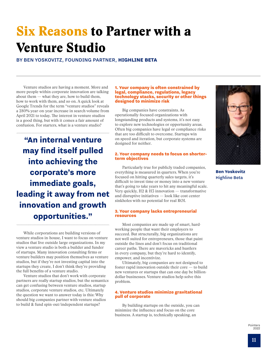## <span id="page-10-0"></span>Six Reasons to Partner with a Venture Studio

BY BEN YOSKOVITZ, FOUNDING PARTNER, **HIGHLINE BETA**

Venture studios are having a moment. More and more people within corporate innovation are talking about them — what they are, how to build them, how to work with them, and so on. A quick look at Google Trends for the term "venture studios" reveals a 280% year-on-year increase in search volume from April 2021 to today. The interest in venture studios is a good thing, but with it comes a fair amount of confusion. For starters, what is a venture studio?

**"An internal venture may find itself pulled into achieving the corporate's more immediate goals, leading it away from net innovation and growth opportunities."**

While corporations are building versions of venture studios in-house, I want to focus on venture studios that live outside large organizations. In my view a venture studio is both a builder and funder of startups. Many innovation consulting firms or venture builders may position themselves as venture studios, but if they're not investing capital into the startups they create, I don't think they're providing the full benefits of a venture studio.

Venture studios that don't work with corporate partners are really startup studios, but the semantics can get confusing between venture studios, startup studios, corporate venture studios, etc. Ultimately the question we want to answer today is this: Why should big companies partner with venture studios to build & fund spin-out/independent startups?

#### 1. Your company is often constrained by legal, compliance, regulations, legacy technology stacks, security or other things designed to minimize risk

Big companies have constraints. As operationally-focused organizations with longstanding products and systems, it's not easy to explore new technologies or opportunity areas. Often big companies have legal or compliance risks that are too difficult to overcome. Startups win on speed and iteration, but corporate systems are designed for neither.

#### 2. Your company needs to focus on shorterterm objectives

Particularly true for publicly traded companies, everything is measured in quarters. When you're focused on hitting quarterly sales targets, it's difficult to invest time or money into a new venture that's going to take years to hit any meaningful scale. Very quickly, H2 & H3 innovation — transformative and disruptive initiatives — look like cost center sinkholes with no potential for real ROI.

#### 3. Your company lacks entrepreneurial resources

Most companies are made up of smart, hardworking people that want their employers to succeed. But structurally, big organizations are not well-suited for entrepreneurs, those that paint outside the lines and don't focus on traditional career paths. There are mavericks and hustlers in every company, but they're hard to identify, empower, and incentivize.

Ultimately, big companies are not designed to foster rapid innovation outside their core — to build new ventures or startups that can one day be billiondollar businesses. Venture studios help solve this problem.

#### 4. Venture studios minimize gravitational pull of corporate

By building startups on the outside, you can minimize the influence and focus on the core business. A startup is, technically speaking, an



**Ben Yoskovitz** Highline Beta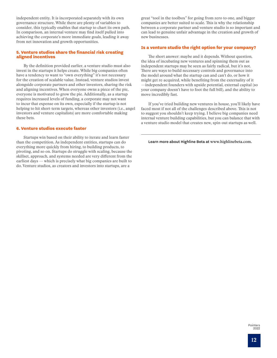independent entity. It is incorporated separately with its own governance structure. While there are plenty of variables to consider, this typically enables that startup to chart its own path. In comparison, an internal venture may find itself pulled into achieving the corporate's more immediate goals, leading it away from net innovation and growth opportunities.

#### 5. Venture studios share the financial risk creating aligned incentives

By the definition provided earlier, a venture studio must also invest in the startups it helps create. While big companies often have a tendency to want to "own everything" it's not necessary for the creation of scalable value. Instead, venture studios invest alongside corporate partners and other investors, sharing the risk and aligning incentives. When everyone owns a piece of the pie, everyone is motivated to grow the pie. Additionally, as a startup requires increased levels of funding, a corporate may not want to incur that expense on its own, especially if the startup is not helping to hit short-term targets, whereas other investors (i.e., angel investors and venture capitalists) are more comfortable making these bets.

#### 6. Venture studios execute faster

Startups win based on their ability to iterate and learn faster than the competition. As independent entities, startups can do everything more quickly from hiring, to building products, to pivoting, and so on. Startups do struggle with scaling, because the skillset, approach, and systems needed are very different from the earliest days — which is precisely what big companies are built to do. Venture studios, as creators and investors into startups, are a

great "tool in the toolbox" for going from zero to one, and bigger companies are better suited to scale. This is why the relationship between a corporate partner and venture studio is so important and can lead to genuine unfair advantage in the creation and growth of new businesses.

#### Is a venture studio the right option for your company?

The short answer: maybe and it depends. Without question, the idea of incubating new ventures and spinning them out as independent startups may be seen as fairly radical, but it's not. There are ways to build necessary controls and governance into the model around what the startup can and can't do, or how it might get re-acquired, while benefiting from the externality of it —independent founders with upside potential, external capital (so your company doesn't have to foot the full bill), and the ability to move incredibly fast.

If you've tried building new ventures in house, you'll likely have faced most if not all of the challenges described above. This is not to suggest you shouldn't keep trying. I believe big companies need internal venture building capabilities, but you can balance that with a venture studio model that creates new, spin-out startups as well.

Learn more about Highline Beta at [www.highlinebeta.com](http://www.highlinebeta.com).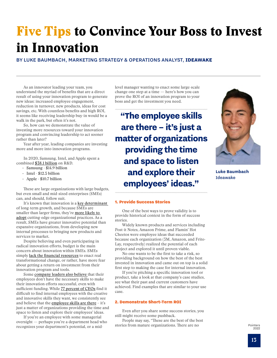## <span id="page-12-0"></span>Five Tips to Convince Your Boss to Invest in Innovation

### BY LUKE BAUMBACH, MARKETING STRATEGY & OPERATIONS ANALYST, **IDEAWAKE**

As an innovator leading your team, you understand the myriad of benefits that are a direct result of using your innovation program to generate new ideas: increased employee engagement, reduction in turnover, new products, ideas for cost savings, etc. With countless benefits and high ROI, it seems like receiving leadership buy-in would be a walk in the park, but often it's not.

So, how can we demonstrate the value of investing more resources toward your innovation program and convincing leadership to act sooner rather than later?

Year after year, leading companies are investing more and more into innovation programs.

In 2020, [Samsung, Intel, and Apple spent a](https://www.europeanbusinessreview.com/the-sectors-which-spent-the-most-on-innovation-in-2020/)  [combined \\$38.1 billion on R&D.](https://www.europeanbusinessreview.com/the-sectors-which-spent-the-most-on-innovation-in-2020/)

- Samsung \$14.9 billion
- Intel \$12.5 billion
- Apple \$10.7 billion

These are large organizations with large budgets, but even small and mid-sized enterprises (SMEs) can, and should, follow suit.

It's known that innovation is a key determinant [of long-term growth,](https://www.oecd.org/cfe/smes/ministerial/documents/2018-SME-Ministerial-Conference-Parallel-Session-4.pdf) and because SMEs are smaller than larger firms, they're more likely to [adopt cutting-edge organizational practices.](https://www.oecd.org/newsroom/smes-are-driving-job-growth-but-need-higher-investment-in-skills-innovation-and-tech-to-boost-wages-and-productivity.htm) As a result, SMEs have greater innovative potential than expansive organizations, from developing new internal processes to bringing new products and services to market.

Despite believing and even participating in radical innovation efforts, budget is the main concern about innovation within SMEs. [SMEs](https://pdf.sciencedirectassets.com/306234/1-s2.0-S2351978917X0005X/1-s2.0-S2351978917305759/main.pdf?X-Amz-Security-Token=IQoJb3JpZ2luX2VjEMf%2F%2F%2F%2F%2F%2F%2F%2F%2F%2FwEaCXVzLWVhc3QtMSJIMEYCIQD7uUjQZrUjBWjSnZGpocr47DPERYarjg2%2FKiQNbs1IkAIhAK9qgyTQoBINjV5myazVQGC7foVZ4gFZ%2BtcSiwGwPo8zKr0DCPD%2F%2F%2F%2F%2F%2F%2F%2F%2F%2FwEQAxoMMDU5MDAzNTQ2ODY1IgwEJZgMeraJ2eVRBn4qkQNtTwGRYmUpdaK%2B5nv47Nq3N5mU1KjH0gDX5M1mu74Zsat8MAsU3jXuFFw3XcxC2GxCYLUlScUmOB7J6J2KwV%2B5kY%2FCcbpKb%2Fa0d7yiWviU1k6skkv17bj2wv0CqrJhkLrif%2BerwS1pZHSqRFBvXEtDlXw5U3m7jSZ1WJ%2FwfTz4yNgwXgPZzpoTWAfsBBO68%2BB6vWSDmsx8ZUjLXiuSZKmeYdbja7Hd0l7AlgiPQs5xLIxRfwDocguReM3pM02zr4U40FvqbUFGiJo3V3IZ5yNi5%2B5aM50KUWBSdpzvbj0UedJBiH%2F8FGOpapVZyu1ya%2BdmbjpgoXAErvxalh896maZVTjss%2BDJRXUTdpEK7ovqR8DocKvcRlOKsMzx7JbEKe6TR88fjVp7jR7lEHLCr3Rva%2BCExOZCOLOC2hfZ1NFIMWnAXU%2B7A8P1rhUC%2FpECyr3JjwcoPCsqidHk%2Fyc4hYFFFgDidMCaOILdZCE6x61DuDOSTr72l92iCVT%2BqP9zcrzfoe9YmB94IAMOwvFEnKqoOjCi572CBjrqAQQh1vwbQv751YQmZ%2BTsulDWCp%2Bm6xojvoc%2FlCdC21Ogp15opRb6%2Blhq3OoYlkv%2B3rZutojjfS55DkDBNu7YEa8IdkJ9KxXI5K5FRHWyq4%2FieFmaohlNdKctnK2boc0akRoeXXqonygU84TvmQia0IqSNnuzsFHSwyCv79qBk6XPdtIWaHKuPqNTIIEd5vNlMaB166cax9HwjYm5XF%2FjdiubDQujBoCkJVqWPMhhoSFTBvIPdiXe36v1dqiFHCpBLYO5tNwZKcPBU%2Bvq%2Fi%2BfhaOBu4dBi3FIn4OgO0ztcREZk1iQca%2FGBsOOTw%3D%3D&X-Amz-Algorithm=AWS4-HMAC-SHA256&X-Amz-Date=20210315T151401Z&X-Amz-SignedHeaders=host&X-Amz-Expires=300&X-Amz-Credential=ASIAQ3PHCVTY2IPVT54T%2F20210315%2Fus-east-1%2Fs3%2Faws4_request&X-Amz-Signature=5673fc1d28f2fd85f504e97fc7626860546d1b160b0752813c96909f37ee9ee8&hash=84b7914dd20329a1eea3041be0dcdb4c15444bb043ae6172bf929fa6f7d6840c&host=68042c943591013ac2b2430a89b270f6af2c76d8dfd086a07176afe7c76c2c61&pii=S2351978917305759&tid=spdf-84faa0d6-0cba-4359-9629-d22de72c044e&sid=d990ce5c4f225343522a9380e82d6c830b7egxrqa&type=client)  simply lack the financial resources to enact real [transformational change](https://pdf.sciencedirectassets.com/306234/1-s2.0-S2351978917X0005X/1-s2.0-S2351978917305759/main.pdf?X-Amz-Security-Token=IQoJb3JpZ2luX2VjEMf%2F%2F%2F%2F%2F%2F%2F%2F%2F%2FwEaCXVzLWVhc3QtMSJIMEYCIQD7uUjQZrUjBWjSnZGpocr47DPERYarjg2%2FKiQNbs1IkAIhAK9qgyTQoBINjV5myazVQGC7foVZ4gFZ%2BtcSiwGwPo8zKr0DCPD%2F%2F%2F%2F%2F%2F%2F%2F%2F%2FwEQAxoMMDU5MDAzNTQ2ODY1IgwEJZgMeraJ2eVRBn4qkQNtTwGRYmUpdaK%2B5nv47Nq3N5mU1KjH0gDX5M1mu74Zsat8MAsU3jXuFFw3XcxC2GxCYLUlScUmOB7J6J2KwV%2B5kY%2FCcbpKb%2Fa0d7yiWviU1k6skkv17bj2wv0CqrJhkLrif%2BerwS1pZHSqRFBvXEtDlXw5U3m7jSZ1WJ%2FwfTz4yNgwXgPZzpoTWAfsBBO68%2BB6vWSDmsx8ZUjLXiuSZKmeYdbja7Hd0l7AlgiPQs5xLIxRfwDocguReM3pM02zr4U40FvqbUFGiJo3V3IZ5yNi5%2B5aM50KUWBSdpzvbj0UedJBiH%2F8FGOpapVZyu1ya%2BdmbjpgoXAErvxalh896maZVTjss%2BDJRXUTdpEK7ovqR8DocKvcRlOKsMzx7JbEKe6TR88fjVp7jR7lEHLCr3Rva%2BCExOZCOLOC2hfZ1NFIMWnAXU%2B7A8P1rhUC%2FpECyr3JjwcoPCsqidHk%2Fyc4hYFFFgDidMCaOILdZCE6x61DuDOSTr72l92iCVT%2BqP9zcrzfoe9YmB94IAMOwvFEnKqoOjCi572CBjrqAQQh1vwbQv751YQmZ%2BTsulDWCp%2Bm6xojvoc%2FlCdC21Ogp15opRb6%2Blhq3OoYlkv%2B3rZutojjfS55DkDBNu7YEa8IdkJ9KxXI5K5FRHWyq4%2FieFmaohlNdKctnK2boc0akRoeXXqonygU84TvmQia0IqSNnuzsFHSwyCv79qBk6XPdtIWaHKuPqNTIIEd5vNlMaB166cax9HwjYm5XF%2FjdiubDQujBoCkJVqWPMhhoSFTBvIPdiXe36v1dqiFHCpBLYO5tNwZKcPBU%2Bvq%2Fi%2BfhaOBu4dBi3FIn4OgO0ztcREZk1iQca%2FGBsOOTw%3D%3D&X-Amz-Algorithm=AWS4-HMAC-SHA256&X-Amz-Date=20210315T151401Z&X-Amz-SignedHeaders=host&X-Amz-Expires=300&X-Amz-Credential=ASIAQ3PHCVTY2IPVT54T%2F20210315%2Fus-east-1%2Fs3%2Faws4_request&X-Amz-Signature=5673fc1d28f2fd85f504e97fc7626860546d1b160b0752813c96909f37ee9ee8&hash=84b7914dd20329a1eea3041be0dcdb4c15444bb043ae6172bf929fa6f7d6840c&host=68042c943591013ac2b2430a89b270f6af2c76d8dfd086a07176afe7c76c2c61&pii=S2351978917305759&tid=spdf-84faa0d6-0cba-4359-9629-d22de72c044e&sid=d990ce5c4f225343522a9380e82d6c830b7egxrqa&type=client), or rather, have more fear about getting a return on investment from their innovation program and tools.

Some company leaders also believe that their [employees don't have the necessary skills to make](https://pdf.sciencedirectassets.com/306234/1-s2.0-S2351978917X0005X/1-s2.0-S2351978917305759/main.pdf?X-Amz-Security-Token=IQoJb3JpZ2luX2VjEMf%2F%2F%2F%2F%2F%2F%2F%2F%2F%2FwEaCXVzLWVhc3QtMSJIMEYCIQD7uUjQZrUjBWjSnZGpocr47DPERYarjg2%2FKiQNbs1IkAIhAK9qgyTQoBINjV5myazVQGC7foVZ4gFZ%2BtcSiwGwPo8zKr0DCPD%2F%2F%2F%2F%2F%2F%2F%2F%2F%2FwEQAxoMMDU5MDAzNTQ2ODY1IgwEJZgMeraJ2eVRBn4qkQNtTwGRYmUpdaK%2B5nv47Nq3N5mU1KjH0gDX5M1mu74Zsat8MAsU3jXuFFw3XcxC2GxCYLUlScUmOB7J6J2KwV%2B5kY%2FCcbpKb%2Fa0d7yiWviU1k6skkv17bj2wv0CqrJhkLrif%2BerwS1pZHSqRFBvXEtDlXw5U3m7jSZ1WJ%2FwfTz4yNgwXgPZzpoTWAfsBBO68%2BB6vWSDmsx8ZUjLXiuSZKmeYdbja7Hd0l7AlgiPQs5xLIxRfwDocguReM3pM02zr4U40FvqbUFGiJo3V3IZ5yNi5%2B5aM50KUWBSdpzvbj0UedJBiH%2F8FGOpapVZyu1ya%2BdmbjpgoXAErvxalh896maZVTjss%2BDJRXUTdpEK7ovqR8DocKvcRlOKsMzx7JbEKe6TR88fjVp7jR7lEHLCr3Rva%2BCExOZCOLOC2hfZ1NFIMWnAXU%2B7A8P1rhUC%2FpECyr3JjwcoPCsqidHk%2Fyc4hYFFFgDidMCaOILdZCE6x61DuDOSTr72l92iCVT%2BqP9zcrzfoe9YmB94IAMOwvFEnKqoOjCi572CBjrqAQQh1vwbQv751YQmZ%2BTsulDWCp%2Bm6xojvoc%2FlCdC21Ogp15opRb6%2Blhq3OoYlkv%2B3rZutojjfS55DkDBNu7YEa8IdkJ9KxXI5K5FRHWyq4%2FieFmaohlNdKctnK2boc0akRoeXXqonygU84TvmQia0IqSNnuzsFHSwyCv79qBk6XPdtIWaHKuPqNTIIEd5vNlMaB166cax9HwjYm5XF%2FjdiubDQujBoCkJVqWPMhhoSFTBvIPdiXe36v1dqiFHCpBLYO5tNwZKcPBU%2Bvq%2Fi%2BfhaOBu4dBi3FIn4OgO0ztcREZk1iQca%2FGBsOOTw%3D%3D&X-Amz-Algorithm=AWS4-HMAC-SHA256&X-Amz-Date=20210315T151401Z&X-Amz-SignedHeaders=host&X-Amz-Expires=300&X-Amz-Credential=ASIAQ3PHCVTY2IPVT54T%2F20210315%2Fus-east-1%2Fs3%2Faws4_request&X-Amz-Signature=5673fc1d28f2fd85f504e97fc7626860546d1b160b0752813c96909f37ee9ee8&hash=84b7914dd20329a1eea3041be0dcdb4c15444bb043ae6172bf929fa6f7d6840c&host=68042c943591013ac2b2430a89b270f6af2c76d8dfd086a07176afe7c76c2c61&pii=S2351978917305759&tid=spdf-84faa0d6-0cba-4359-9629-d22de72c044e&sid=d990ce5c4f225343522a9380e82d6c830b7egxrqa&type=client)  [their innovation efforts successful,](https://pdf.sciencedirectassets.com/306234/1-s2.0-S2351978917X0005X/1-s2.0-S2351978917305759/main.pdf?X-Amz-Security-Token=IQoJb3JpZ2luX2VjEMf%2F%2F%2F%2F%2F%2F%2F%2F%2F%2FwEaCXVzLWVhc3QtMSJIMEYCIQD7uUjQZrUjBWjSnZGpocr47DPERYarjg2%2FKiQNbs1IkAIhAK9qgyTQoBINjV5myazVQGC7foVZ4gFZ%2BtcSiwGwPo8zKr0DCPD%2F%2F%2F%2F%2F%2F%2F%2F%2F%2FwEQAxoMMDU5MDAzNTQ2ODY1IgwEJZgMeraJ2eVRBn4qkQNtTwGRYmUpdaK%2B5nv47Nq3N5mU1KjH0gDX5M1mu74Zsat8MAsU3jXuFFw3XcxC2GxCYLUlScUmOB7J6J2KwV%2B5kY%2FCcbpKb%2Fa0d7yiWviU1k6skkv17bj2wv0CqrJhkLrif%2BerwS1pZHSqRFBvXEtDlXw5U3m7jSZ1WJ%2FwfTz4yNgwXgPZzpoTWAfsBBO68%2BB6vWSDmsx8ZUjLXiuSZKmeYdbja7Hd0l7AlgiPQs5xLIxRfwDocguReM3pM02zr4U40FvqbUFGiJo3V3IZ5yNi5%2B5aM50KUWBSdpzvbj0UedJBiH%2F8FGOpapVZyu1ya%2BdmbjpgoXAErvxalh896maZVTjss%2BDJRXUTdpEK7ovqR8DocKvcRlOKsMzx7JbEKe6TR88fjVp7jR7lEHLCr3Rva%2BCExOZCOLOC2hfZ1NFIMWnAXU%2B7A8P1rhUC%2FpECyr3JjwcoPCsqidHk%2Fyc4hYFFFgDidMCaOILdZCE6x61DuDOSTr72l92iCVT%2BqP9zcrzfoe9YmB94IAMOwvFEnKqoOjCi572CBjrqAQQh1vwbQv751YQmZ%2BTsulDWCp%2Bm6xojvoc%2FlCdC21Ogp15opRb6%2Blhq3OoYlkv%2B3rZutojjfS55DkDBNu7YEa8IdkJ9KxXI5K5FRHWyq4%2FieFmaohlNdKctnK2boc0akRoeXXqonygU84TvmQia0IqSNnuzsFHSwyCv79qBk6XPdtIWaHKuPqNTIIEd5vNlMaB166cax9HwjYm5XF%2FjdiubDQujBoCkJVqWPMhhoSFTBvIPdiXe36v1dqiFHCpBLYO5tNwZKcPBU%2Bvq%2Fi%2BfhaOBu4dBi3FIn4OgO0ztcREZk1iQca%2FGBsOOTw%3D%3D&X-Amz-Algorithm=AWS4-HMAC-SHA256&X-Amz-Date=20210315T151401Z&X-Amz-SignedHeaders=host&X-Amz-Expires=300&X-Amz-Credential=ASIAQ3PHCVTY2IPVT54T%2F20210315%2Fus-east-1%2Fs3%2Faws4_request&X-Amz-Signature=5673fc1d28f2fd85f504e97fc7626860546d1b160b0752813c96909f37ee9ee8&hash=84b7914dd20329a1eea3041be0dcdb4c15444bb043ae6172bf929fa6f7d6840c&host=68042c943591013ac2b2430a89b270f6af2c76d8dfd086a07176afe7c76c2c61&pii=S2351978917305759&tid=spdf-84faa0d6-0cba-4359-9629-d22de72c044e&sid=d990ce5c4f225343522a9380e82d6c830b7egxrqa&type=client) even with sufficient funding. While **77 percent of CEOs** find it difficult to find internal employees with the creative and innovative skills they want, we consistently see and believe that the [employee skills are there](https://ideawake.com/2021/02/15/non-utilized-talent-your-organizations-biggest-waste/) – it's just a matter of organizations providing the time and space to listen and explore their employees' ideas.

If you're an employee with some managerial oversight — perhaps you're a department head who recognizes your department's potential, or a midlevel manager wanting to enact some large-scale change one step at a time — here's how you can prove the ROI of an innovation program to your boss and get the investment you need.

**"The [employee skills](https://ideawake.com/2021/02/15/non-utilized-talent-your-organizations-biggest-waste/)  [are there](https://ideawake.com/2021/02/15/non-utilized-talent-your-organizations-biggest-waste/) – it's just a matter of organizations providing the time and space to listen and explore their employees' ideas."**



**Luke Baumbach** Ideawake

#### 1. Provide Success Stories

One of the best ways to prove validity is to provide historical context in the form of success stories.

Widely known products and services including Post-it Notes, Amazon Prime, and Flamin' Hot Cheetos were employee ideas that succeeded because each organization (3M, Amazon, and Frito-Lay, respectively) realized the potential of each project and explored it until proven viable.

No one wants to be the first to take a risk, so providing background on how the best of the best invested in innovation and came out on top is a solid first step to making the case for internal innovation.

If you're pitching a specific innovation tool or product, take a look at that company's case studies, see what their past and current customers have achieved. Find examples that are similar to your use case.

#### 2. Demonstrate Short-Term ROI

Even after you share some success stories, you still might receive some pushback.

People may say, "These are the best of the best stories from mature organizations. There are no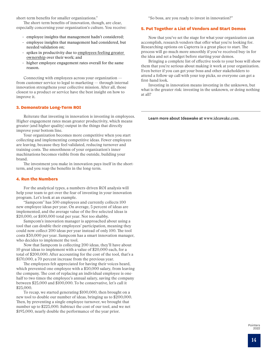short-term benefits for smaller organizations."

The short-term benefits of innovation, though, are clear, especially concerning your organization's culture. You receive:

- employee insights that management hadn't considered;
- employee insights that management had considered, but needed validation on;
- spikes in productivity due to employees feeling greater [ownership over their work](https://hbr.org/1987/09/how-well-is-employee-ownership-working); and
- higher employee engagement rates overall for the same reason.

Connecting with employees across your organization from customer service to legal to marketing — through internal innovation strengthens your collective mission. After all, those closest to a product or service have the best insight on how to improve it.

#### 3. Demonstrate Long-Term ROI

Reiterate that investing in innovation is investing in employees. Higher engagement rates mean greater productivity, which means greater (and higher quality) output in the things that directly improve your bottom line.

Your organization becomes more competitive when you start collecting and implementing competitive ideas. Fewer employees are leaving, because they feel validated, reducing turnover and training costs. The smoothness of your organization's inner machinations becomes visible from the outside, building your brand.

The investment you make in innovation pays itself in the shortterm, and you reap the benefits in the long-term.

#### 4. Run the Numbers

For the analytical types, a numbers-driven ROI analysis will help your team to get over the fear of investing in your innovation program. Let's look at an example.

"Sampcom" has 500 employees and currently collects 100 new employee ideas per year. On average, 5 percent of ideas are implemented, and the average value of the five selected ideas is \$20,000, or \$100,000 total per year. Not too shabby.

Sampcom's innovation manager is approached about using a tool that can double their employees' participation, meaning they could now collect 200 ideas per year instead of only 100. The tool costs \$30,000 per year. Sampcom has a smart innovation manager, who decides to implement the tool.

Now that Sampcom is collecting 200 ideas, they'll have about 10 great ideas to implement with a value of \$20,000 each, for a total of \$200,000. After accounting for the cost of the tool, that's a \$170,000, a 70 percent increase from the previous year.

The employees felt appreciated for having their voices heard, which prevented one employee with a \$50,000 salary, from leaving the company. The cost of replacing an individual employee is onehalf to two times the employee's annual salary, saving the company between \$25,000 and \$100,000. To be conservative, let's call it \$25,000.

To recap, we started generating \$100,000, then brought on a new tool to double our number of ideas, bringing us to \$200,000. Then, by preventing a single employee turnover, we brought that number up to \$225,000. Subtract the cost of our tool, and we net \$195,000, nearly double the performance of the year prior.

"So boss, are you ready to invest in innovation?"

#### 5. Put Together a List of Vendors and Start Demos

Now that you've set the stage for what your organization can accomplish, research vendors that offer what you're looking for. Researching options on Capterra is a great place to start. The process will go much more smoothly if you've received buy-in for the idea and set a budget before starting your demos.

Bringing a complete list of effective tools to your boss will show them that you're serious about making it work at your organization. Even better if you can get your boss and other stakeholders to attend a follow-up call with your top picks, so everyone can get a first-hand look.

Investing in innovation means investing in the unknown, but what is the greater risk: investing in the unknown, or doing nothing at all?

Learn more about Ideawake at [www.ideawake.com](https://www.ideawake.com).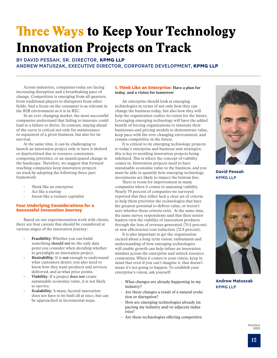# <span id="page-14-0"></span>**Three Ways to Keep Your Technology** Innovation Projects on Track

### BY DAVID PESSAH, SR. DIRECTOR, **KPMG LLP** ANDREW MATUSZAK, EXECUTIVE DIRECTOR, CORPORATE DEVELOPMENT, **KPMG LLP**

Across industries, companies today are facing increasing disruption and a breathtaking pace of change. Competition is emerging from all quarters, from traditional players to disruptors from other fields. And a focus on the consumer is as relevant in the B2B environment as it is in B2C.

In an ever-changing market, the most successful companies understand that failing to innovate could lead to a failure to thrive. In contrast, staying ahead of the curve is critical not only for maintenance or expansion of a given business, but also for its survival.

At the same time, it can be challenging to launch an innovation project only to have it shelved or deprioritized due to resource constraints, competing priorities, or an unanticipated change in the landscape. Therefore, we suggest that forwardreaching companies keep innovation projects on track by adopting the following three-part framework:

- Think like an enterprise
- Act like a startup
- Invest like a venture capitalist

#### Four Underlying Considerations for a Successful Innovation Journey

Based on our experimentation work with clients, there are four caveats that should be considered at various stages of the innovation journey:

- Feasibility: Whether you can build something **should not** be the only data point you consider when deciding whether to greenlight an innovation project.
- Desirability: It is **not** enough to understand what customers desire; you also need to know how they want products and services delivered, and at what price points.
- Viability: If a project **does not** create sustainable economic value, it is not likely to survive.
- Scalability: A many-faceted innovation does not have to be built all at once, but can be approached in incremental steps.

#### 1. Think Like an Enterprise: Have a plan for today, and a vision for tomorrow

An enterprise should look at emerging technologies in terms of not only how they can change the business today, but also how they will help the organization realize its vision for the future. Leveraging emerging technology will have the added benefit of forcing organizations to innovate their businesses and pricing models to demonstrate value, keep pace with the ever-changing environment, and remain competitive in the future.

It is critical to tie emerging technology projects to today's enterprise and business unit strategies; this is key to avoiding innovation projects being sidelined. This is where the concept of viability comes in. Innovation projects need to have sustainable economic value to the business, and you must be able to quantify how emerging technology investments are likely to impact the bottom line.

There is room for improvement at many companies when it comes to assessing viability. Nearly 70 percent of companies we surveyed reported that they either lack a clear set of criteria to help them prioritize the technologies that have the greatest potential to deliver value, or weren't sure whether these criteria exist. At the same time, the same survey respondents said that their senior leaders view the viability of innovation products through the lens of revenue generated (70.4 percent) or new efficiencies/cost reduction (72.8 percent).

It is also important to get the organization excited about a long-term vision; enthusiasm and understanding of how emerging technologies will enable growth can help infuse an innovation mindset across the enterprise and unlock resource constraints. When it comes to your vision, keep in mind that even if you can't imagine it, that doesn't mean it's not going to happen. To establish your enterprise's vision, ask yourself:

- What changes are already happening in my industry?
- Are these changes a result of a natural evolution or disruption?
- How are emerging technologies already impacting my industry and/or adjacent industries?
- Are these technologies offering competitive



**David Pessah** KPMG LLP



**Andrew Matuszak** KPMG LLP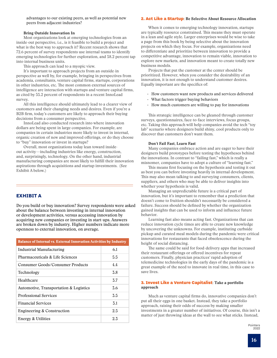advantages to our existing peers, as well as potential new peers from adjacent industries?

#### Bring Outside Innovation In

Most organizations look at emerging technologies from an inside-out perspective, i.e., is it feasible to build a project and what is the best way to approach it? Recent research shows that 72.6 percent of survey respondents use internal teams to identify emerging technologies for further exploration, and 58.2 percent tap into internal business units.

This approach can lead to a myopic view.

It's important to approach projects from an outside-in perspective as well by, for example, bringing in perspectives from academia, consultants, venture capital firms, startups, corporations in other industries, etc. The most common external sources of intelligence are interaction with startups and venture capital firms, as cited by 55.2 percent of respondents in a recent InnoLead survey.

All this intelligence should ultimately lead to a clearer view of customers and their changing needs and desires. Even if you're a B2B firm, today's customers are likely to approach their buying decisions from a consumer perspective.

InnoLead also conducted research into where innovation dollars are being spent in large companies. For example, are companies in certain industries more likely to invest in internal, organic creation of new and improved offerings, or do they choose to "buy" innovation or invest in startups?

Overall, most organizations today lean toward insideout activity—including industries like energy, construction, and, surprisingly, technology. On the other hand, industrial manufacturing companies are most likely to fulfill their innovation aspirations through acquisitions and startup investments. (See Exhibit A below.)

#### **EXHIBIT A**

 or development activities, versus accessing innovation by Do you build or buy innovation? Survey respondents were asked about the balance between investing in internal innovation acquiring new companies or investing in start-ups. Answers are broken down by industry. Higher numbers indicate more openness to external innovation, on average.

| <b>Balance of Internal vs. External Innovation Activities by Industry</b> |     |
|---------------------------------------------------------------------------|-----|
| Industrial Manufacturing                                                  | 6.1 |
| Pharmaceuticals & Life Sciences                                           | 5.5 |
| Consumer Goods/Consumer Products                                          | 4.4 |
| Technology                                                                | 3.8 |
| Healthcare                                                                | 3.7 |
| Automotive, Transportation & Logistics                                    | 3.6 |
| <b>Professional Services</b>                                              | 3.5 |
| <b>Financial Services</b>                                                 | 3.1 |
| Engineering & Construction                                                | 2.5 |
| Energy & Utilities                                                        | 2.3 |

#### 2. Act Like a Startup: Be Selective About Resource Allocation

When it comes to emerging technology innovation, startups are typically resource constrained. This means they must operate in a lean and agile style. Larger enterprises would be wise to take a page from this book by being selective about the innovation projects on which they focus. For example, organizations need to differentiate and prioritize between innovation to provide a competitive advantage, innovation to remain viable, innovation to explore new markets, and innovation meant to create totally new business models.

Projects that put the customer at the center should be prioritized. However, when you consider the desirability of an innovation, it is not enough to understand customer desires. Equally important are the specifics of:

- How customers want new products and services delivered
- What factors trigger buying behaviors
- How much customers are willing to pay for innovations

This strategic intelligence can be gleaned through customer surveys, questionnaires, face-to-face interviews, focus groups, etc. Taking this approach will help companies avoid the tech "toy lab" scenario where designers build shiny, cool products only to discover that customers don't want them.

#### Don't Fail Fast, Learn Fast

Many companies embrace action and are eager to have their designers build prototypes before testing the hypotheses behind the innovations. In contrast to "failing fast," which is really a misnomer, companies have to adopt a culture of "learning fast."

This means first focusing on the hypothesis and testing it out as best you can before investing heavily in internal development. This may also mean talking to and surveying consumers, clients, suppliers, and others who may be able to deliver insights into whether your hypothesis is valid.

Managing an unpredictable future is a critical part of innovation, but it's important to remember that a prediction that doesn't come to fruition shouldn't necessarily be considered a failure. Success should be defined by whether the organization gained insights that can be used to inform and influence future behavior.

Learning fast also means acting fast. Organizations that can reduce innovation cycle times are able to create new knowledge by uncovering the unknowns. For example, instituting curbside pickup and curated meal models during the pandemic were critical innovations for restaurants that faced obsolescence during the height of social distancing.

The same could be said for food-delivery apps that increased their restaurant offerings or offered incentives for repeat customers. Finally, physician practices' rapid adoption of telemedicine technologies in the early days of the pandemic is a great example of the need to innovate in real time, in this case to save lives.

#### 3. Invest Like a Venture Capitalist: Take a portfolio approach

Much as venture capital firms do, innovative companies don't put all their eggs in one basket. Instead, they take a portfolio approach, raising their odds of success by making smaller investments in a greater number of initiatives. Of course, this isn't a matter of just throwing ideas at the wall to see what sticks. Instead,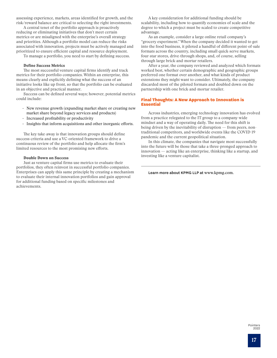assessing experience, markets, areas identified for growth, and the risk/reward balance are critical to selecting the right investments.

A central tenet of the portfolio approach is proactively reducing or eliminating initiatives that don't meet certain metrics or are misaligned with the enterprise's overall strategy and priorities. Although a portfolio model can reduce the risks associated with innovation, projects must be actively managed and prioritized to ensure efficient capital and resource deployment.

To manage a portfolio, you need to start by defining success.

#### Define Success Metrics

The most successful venture capital firms identify and track metrics for their portfolio companies. Within an enterprise, this means clearly and explicitly defining what the success of an initiative looks like up front, so that the portfolio can be evaluated in an objective and practical manner.

Success can be defined several ways; however, potential metrics could include:

- New revenue growth (expanding market share or creating new market share beyond legacy services and products)
- Increased profitability or productivity
- Insights that inform acquisitions and other inorganic efforts.

The key take-away is that innovation groups should define success criteria and use a VC-oriented framework to drive a continuous review of the portfolio and help allocate the firm's limited resources to the most promising new efforts.

#### Double Down on Success

Just as venture capital firms use metrics to evaluate their portfolios, they often reinvest in successful portfolio companies. Enterprises can apply this same principle by creating a mechanism to evaluate their internal innovation portfolios and gain approval for additional funding based on specific milestones and achievements.

A key consideration for additional funding should be scalability, including how to quantify economies of scale and the degree to which a project must be scaled to create competitive advantage.

As an example, consider a large online retail company's "grocery experiment." When the company decided it wanted to get into the food business, it piloted a handful of different point-of-sale formats across the country, including small quick-serve markets, four-star stores, drive-through shops, and, of course, selling through large brick-and-mortar retailers.

After a year, the company reviewed and analyzed which formats worked best, whether certain demographic and geographic groups preferred one format over another, and what kinds of product extensions they might want to consider. Ultimately, the company discarded most of the piloted formats and doubled down on the partnership with one brick-and-mortar retailer.

#### Final Thoughts: A New Approach to Innovation is Essential

Across industries, emerging-technology innovation has evolved from a practice relegated to the IT group to a company-wide mindset and a way of operating daily. The need for this shift is being driven by the inevitability of disruption — from peers, nontraditional competitors, and worldwide events like the COVID-19 pandemic and the current geopolitical situation.

In this climate, the companies that navigate most successfully into the future will be those that take a three-pronged approach to innovation — acting like an enterprise, thinking like a startup, and investing like a venture capitalist.

Learn more about KPMG LLP at [www.kpmg.com.](http://www.home.kpmg.com)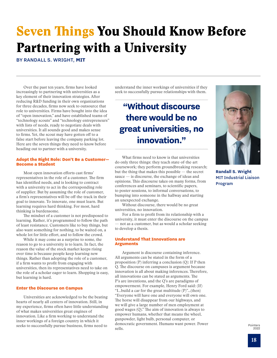# <span id="page-17-0"></span>Seven Things You Should Know Before Partnering with a University

BY RANDALL S. WRIGHT, **MIT**

Over the past ten years, firms have looked increasingly to partnering with universities as a key element of their innovation strategies. After reducing R&D funding in their own organizations for three decades, firms now seek to outsource that role to universities. Firms have bought into the idea of "open innovation," and have established teams of "technology scouts" and "technology entrepreneurs" with lists of needs, ready to negotiate deals with universities. It all sounds good and makes sense to firms. Yet, the scout may have gotten off to a false start before leaving the company parking lot. Here are the seven things they need to know before heading out to partner with a university.

#### Adopt the Right Role: Don't Be a Customer— Become a Student

Most open innovation efforts cast firms' representatives in the role of a customer. The firm has identified needs, and is looking to contract with a university to act in the corresponding role of supplier. But by assuming the role of customer, a firm's representatives will be off-the-track in their goal to innovate. To innovate, one must learn. But learning requires hard thinking. For most, hard thinking is burdensome.

The mindset of a customer is not predisposed to learning. Rather, it's programmed to follow the path of least resistance. Customers like to buy things, but also want something for nothing, to be waited on, a whole lot for little effort, and to follow the crowd.

While it may come as a surprise to some, the reason to go to a university is to learn. In fact, the reason the value of the stock market keeps rising over time is because people keep learning new things. Rather than adopting the role of a customer, if a firm wants to profit from engaging with universities, then its representatives need to take on the role of a scholar eager to learn. Shopping is easy, but learning is hard.

#### Enter the Discourse on Campus

Universities are acknowledged to be the beating hearts of nearly all centers of innovation. Still, in my experience, firms often have little understanding of what makes universities great engines of innovation. Like a firm working to understand the inner workings of a foreign country in which it seeks to successfully pursue business, firms need to

understand the inner workings of universities if they seek to successfully pursue relationships with them.

## **"Without discourse there would be no great universities, no innovation."**

What firms need to know is that universities do only three things: they teach state-of-the-art coursework; they perform groundbreaking research; but the thing that makes this possible — the secret sauce — is discourse, the exchange of ideas and opinions. This discourse takes on many forms, from conferences and seminars, to scientific papers, to poster sessions, to informal conversations, to bumping into someone in the hallway and starting an unexpected exchange.

Without discourse, there would be no great universities, no innovation.

For a firm to profit from its relationship with a university, it must enter the discourse on the campus — not as a customer, but as would a scholar seeking to develop a thesis.

#### Understand That Innovations are Arguments

Argument is discourse containing inference. All arguments can be stated in the form of a proposition (P) inferring a conclusion (Q): If P then Q. The discourse on campuses is argument because innovation is all about making inferences. Therefore, all innovations can be stated as arguments. The P's are inventions, and the Q's are paradigms of empowerment. For example, Henry Ford said: (If) "I…build a car for the great multitude (P)"…(then) "Everyone will have one and everyone will own one. The horse will disappear from our highways, and we will give a large number of men employment at good wages (Q)." The aim of innovation is always to empower humans, whether that means the wheel, gunpowder, light bulb, personal computer, or democratic government. Humans want power. Power sells.



**Randall S. Wright** MIT Industrial Liaison Program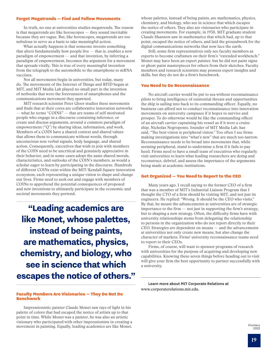#### Forget Megatrends — Find and Follow Movements

In truth, no one at universities studies megatrends. The reason is that megatrends are like horoscopes — they sound inevitable because they are vague. But, like horoscopes, megatrends are too nebulous to serve as a basis to take meaningful action.

What actually happens is that someone invents something that alters fundamentally how people live  $-$  that is, enables a new paradigm of empowerment — and that invention, by inferring a paradigm of empowerment, becomes the argument for a movement that spreads virally. This is true of every meaningful invention from the telegraph to the automobile to the smartphone to mRNA vaccines.

Not all movements begin in universities, but today, many do. The movements of the Internet of Things and RFID began at MIT, and MIT Media Lab played no small part in the invention of netbooks that were the forerunners of smartphones and the communications movement they spawned.

MIT research scientist Peter Gloor studies these movements and finds that at their cores are collaborative innovation networks — what he terms "COINS" — that are teams of self-motivated people who engage in a discourse containing inference, or create and discuss arguments, around a common paradigm of empowerment ("Q") by sharing ideas, information, and work. Members of a COIN have a shared context and shared values that allows them to communicate without words, through unconscious non-verbal signals, body language, and shared action. Consequently, executives that wish to join with members of the COIN need to be uncritical and genuinely appreciative in their behavior, and in some cases adopt the same shared morals, characteristics, and outlooks of the COIN's members, as would a scholar eager to learn by participating in the discourse. Hundreds of different COINs exist within the MIT/Kendall Square innovation ecosystem, each representing a unique vision to shape and change our lives. Firms need to seek out and engage with members of COINs to apprehend the potential consequences of proposed and new inventions to ultimately participate in the economic and societal movements they portend.

**"Leading academics are like Monet, whose palettes, instead of being paints, are mathematics, physics, chemistry, and biology, who see in science that which escapes the notice of others."**

#### Faculty Members Are Visionaries — They Do Not Do Benchwork

Impressionistic painter Claude Monet saw rays of light in his palette of colors that had escaped the notice of artists up to that point in time. While Monet was a painter, he was also an artistic visionary who participated with other impressionists in creating a movement in painting. Equally, leading academics are like Monet,

whose palettes, instead of being paints, are mathematics, physics, chemistry, and biology, who see in science that which escapes the notice of others. They also are visionaries who participate in creating movements. For example, in 1938, MIT graduate student Claude Shannon saw in mathematics that which had, up to that point, escaped the notice of others, and laid the groundwork for the digital communications networks that now lace the earth.

Still, some firm representatives only see faculty members as experts to become craftsmen on their firm's "extended workbench." Monet may have been an expert painter, but he did not paint signs or ghost-paint masterpieces for others from their sketches. Faculty members and research scientists may possess expert insights and skills, but they do not do a firm's benchwork.

#### You Need to Do Reconnaissance

No aircraft carrier would be put to sea without reconnaissance pilots to bring intelligence of existential threats and opportunities the ship is sailing into back to its commanding officer. Equally, no business can afford not to conduct reconnaissance into innovation movements on university campuses if it hopes to survive and prosper. To do otherwise would be like the commanding officer of an aircraft carrier captaining his vessel as if it were a cruise ship. Nicholas Negroponte, founder of MIT Media Lab, has said, "The best vision is peripheral vision." Too often I see firms making investigations into "what's new" that are much too narrow. Reconnaissance needs to be broad into movements that, while seeming peripheral, stand to undermine a firm if it fails to pay heed. Firms need to have a small team of executives who regularly visit universities to learn what leading researchers are doing and reconstruct, debrief, and assess the importance of the arguments being made at academic institutions.

#### Get Organized — You Need to Report to the CEO

Many years ago, I recall saying to the former CEO of a firm that was a member of MIT's Industrial Liaison Program that I thought the CTO of a firm should be visiting MIT, and not just its engineers. He replied: "Wrong. It should be the CEO who visits." By that, he meant the advancements at universities are of strategic importance to the firm  $-$  not just in supporting the firm's strategy, but to shaping a new strategy. Often, the difficulty firms have with university relationships stems from delegating the relationship to persons in the organization who do not report directly to their CEO. Strategies are dependent on means — and the advancements at universities not only create new means, but also change the character of markets. Firms' university reconnaissance teams need to report to their CEOs.

Firms, of course, will want to sponsor programs of research with universities for the purpose of acquiring and developing new capabilities. Knowing these seven things before heading out to visit will give your firm the best opportunity to partner successfully with a university.

Learn more about MIT Corporate Relations at [www.corporaterelations.mit.edu](http://www.corporaterelations.mit.edu)[.](https://corporaterelations.mit.edu/)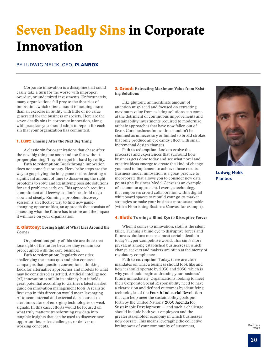# <span id="page-19-0"></span>Seven Deadly Sins in Corporate Innovation

BY LUDWIG MELIK, CEO, **PLANBOX** 

Corporate innovation is a discipline that could easily take a turn for the worse with improper, overdue, or undersized investments. Unfortunately, many organizations fall prey to the theatrics of innovation, which often amount to nothing more than an exercise in futility with little or no value generated for the business or society. Here are the seven deadly sins in corporate innovation, along with practices you should adopt to repent for each sin that your organization has committed.

#### 1. Lust: Chasing After the Next Big Thing

A classic sin for organizations that chase after the next big thing too soon and too fast without proper planning. They often get hit hard by reality.

**Path to redemption:** Breakthrough innovation does not come fast or easy. Here, baby steps are the way to go; playing the long game means devoting a significant amount of time to discovering the right problems to solve and identifying possible solutions for said problems early on. This approach requires commitment and leeway, so don't be afraid to go slow and steady. Running a problem discovery session is an effective way to find new gamechanging opportunities, an approach that consists of assessing what the future has in store and the impact it will have on your organization.

#### **2. Gluttony:** Losing Sight of What Lies Around the Corner

Organizations guilty of this sin are those that lose sight of the future because they remain too preoccupied with the core business.

**Path to redemption:** Regularly consider challenging the status quo and plan concrete campaigns that question conventional thinking. Look for alternative approaches and models to what may be considered as settled. Artificial intelligence (AI) innovation is still in its infancy, but it holds great potential according to Gartner's latest market guide on innovation management tools. A realistic first step in this direction would mean leveraging AI to scan internal and external data sources to alert innovators of emerging technologies or weak signals. In this case, efforts would be focused on what truly matters: transforming raw data into tangible insights that can be used to discover new opportunities, solve challenges, or deliver on working concepts.

#### **3. Greed:** Extracting Maximum Value from Existing Solutions

Like gluttony, an inordinate amount of attention misplaced and focused on extracting maximum value from existing solutions can come at the detriment of continuous improvements and sustainability investments required to modernize archaic approaches that have now fallen out of favor. Core business innovation shouldn't be shunned as unnecessary or limited to broad strokes that only produce an eye candy effect with small incremental design changes.

**Path to redemption:** Look to evolve the processes and experiences that surround how business gets done today and see what novel and creative ideas emerge to create the kind of change you need to implement to achieve those results. Business model innovation is a great practice to incorporate that allows you to consider new data points (the Business Model Canvas is an example of a common approach). Leverage technology that empowers crowd collaboration within digital whiteboard spaces to rebuild your go-to-market strategies or make your business more sustainable (with a Flourishing Business Canvas, for example).

#### 4. Sloth: Turning a Blind Eye to Disruptive Forces

When it comes to innovation, sloth is the silent killer. Turning a blind eye to disruptive forces and future evolutions means almost certain death in today's hyper-competitive world. This sin is more prevalent among established businesses in which change-seekers and makers are often at the mercy of regulatory compliance.

**Path to redemption:** Today, there are clear mandates on what a business should look like and how it should operate by 2030 and 2050, which is why you should begin addressing your business' future immediately. Organizations looking to meet their Corporate Social Responsibility need to have a clear vision and defined outcomes by identifying technologies of the [Fourth Industrial Revolution](https://www.weforum.org/focus/fourth-industrial-revolution) that can help meet the sustainability goals put forth by the United Nations' [2030 Agenda for](https://sdgs.un.org/2030agenda)  [Sustainable Development](https://sdgs.un.org/2030agenda)  $-$  and such a challenge should include both your employees and the greater stakeholder economy in which businesses now operate. This means leveraging the collective brainpower of your community of customers,



**Ludwig Melik** Planbox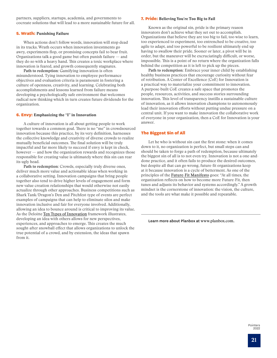partners, suppliers, startups, academia, and governments to cocreate solutions that will lead to a more sustainable future for all.

#### 5. Wrath: Punishing Failure

When actions don't follow words, innovation will stop dead in its tracks. Wrath occurs when innovation investments go awry, experiments flop, or promising concepts fail to bear fruit. Organizations talk a good game but often punish failure — and they do so with a heavy hand. This creates a toxic workplace where innovation is feared, and growth consequently stagnates.

**Path to redemption:** Gamifying innovation is often misunderstood. Tying innovation to employee performance objectives and evaluation criteria is paramount in fostering a culture of openness, creativity, and learning. Celebrating both accomplishments and lessons learned from failure means developing a psychologically safe environment that welcomes radical new thinking which in turn creates future dividends for the organization.

#### 6. Envy: Emphasizing the "I" in Innovation

A culture of innovation is all about getting people to work together towards a common goal. There is no "me" in crowdsourced innovation because this practice, by its very definition, harnesses the collective knowledge and creativity of diverse crowds to realize mutually beneficial outcomes. The final solution will be truly impactful and far more likely to succeed if envy is kept in check, however — and how the organization rewards and recognizes those responsible for creating value is ultimately where this sin can rear its ugly head.

Path to redemption: Crowds, especially truly diverse ones, deliver much more value and actionable ideas when working in a collaborative setting. Innovation campaigns that bring people together also tend to drive higher levels of engagement and form new value creation relationships that would otherwise not easily actualize through other approaches. Business competitions such as Shark Tank/Dragon's Den and Pitchfest-type of events are perfect examples of campaigns that can help to eliminate silos and make innovation inclusive and fair for everyone involved. Additionally, allowing an idea to bounce around is critical to improving its value. As the Deloitte [Ten Types of Innovation](https://doblin.com/ten-types) framework illustrates, developing an idea with others allows for new perspectives, experiences, and approaches to emerge. This creates the much sought-after snowball effect that allows organizations to unlock the true potential of a crowd, and by extension, the ideas that spawn from it.

#### **7. Pride:** Believing You're Too Big to Fail

Known as the original sin, pride is the primary reason innovators don't achieve what they set out to accomplish. Organizations that believe they are too big to fail, too wise to learn, too experienced to experiment, too entrenched to be creative, too agile to adapt, and too powerful to be resilient ultimately end up having to swallow their pride. Sooner or later, a pivot will be in order, but the maneuver will be excruciatingly difficult, or worse, impossible. This is a point of no return where the organization falls behind the competition as it is left to pick up the pieces.

Path to redemption: Embrace your inner child by establishing healthy business practices that encourage curiosity without fear of retribution. A Center of Excellence (CoE) for Innovation is a practical way to materialize your commitment to innovation. A purpose-built CoE creates a safe space that promotes the people, resources, activities, and success stories surrounding innovation. This level of transparency instills a sustainable culture of innovation, as it allows innovation champions to autonomously lead their innovation efforts without putting undue pressure on a central unit. If you want to make innovation the collaborative work of everyone in your organization, then a CoE for Innovation is your answer.

#### The Biggest Sin of All

Let he who is without sin cast the first stone: when it comes down to it, no organization is perfect, but small steps can and should be taken to forge a path of redemption, because ultimately the biggest sin of all is to not even try. Innovation is not a one-anddone practice, and it often fails to produce the desired outcomes, but despite all that can go wrong, future-fit organizations keep at it because innovation is a cycle of betterment. As one of the principles of the [Future-Fit Manifesto](https://futurefitmanifesto.org/) goes: "At all times, the organization reflects on how to become more Future-Fit, then tunes and adjusts its behavior and systems accordingly." A growth mindset is the cornerstone of innovation: the vision, the culture, and the tools are what make it possible and repeatable.

Learn more about Planbox a[t](https://www.paconsulting.com/) [www.planbox.com](http://www.planbox.com).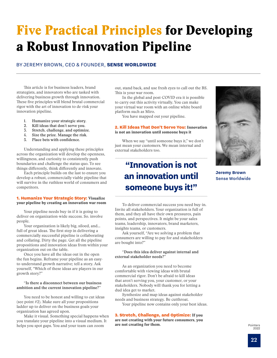# <span id="page-21-0"></span>Five Practical Principles for Developing a Robust Innovation Pipeline

### BY JEREMY BROWN, CEO & FOUNDER, **SENSE WORLDWIDE**

This article is for business leaders, brand strategists, and innovators who are tasked with delivering business growth through innovation. These five principles will blend brutal commercial rigor with the art of innovation to de-risk your innovation pipeline.

- **1. Humanize your strategic story.**
- **2. Kill ideas that don't serve you.**
- **3. Stretch, challenge, and optimize.**
- **4. Size the prize. Manage the risk.**
- **5. Place bets with confidence.**

Understanding and applying these principles across the organization will develop the openness, willingness, and curiosity to consistently push boundaries and challenge the status quo. To see things differently, think differently and innovate.

Each principle builds on the last to ensure you develop a robust, commercially viable pipeline that will survive in the ruthless world of consumers and competitors.

#### **1. Humanize Your Strategic Story: Visualize** your pipeline by creating an innovation war room

Your pipeline needs buy-in if it is going to deliver on organization-wide success. So. involve people.

Your organization is likely big, siloed, and… full of great ideas. The first step in delivering a commercially successful pipeline is collaborating and collating. Dirty the page. Get all the pipeline propositions and innovation ideas from within your organization out on the table.

Once you have all the ideas out in the open the fun begins. Reframe your pipeline as an easyto-understand growth narrative; tell a story. Ask yourself, "Which of these ideas are players in our growth story?"

#### **"Is there a disconnect between our business ambition and the current innovation pipeline?"**

You need to be honest and willing to cut ideas (see point #2). Make sure all your propositions ladder up to deliver on the business goals your organization has agreed upon.

Make it visual. Something special happens when you translate your pipeline into a visual medium. It helps you spot gaps. You and your team can zoom

out, stand back, and use fresh eyes to call out the BS. This is your war room.

In the global and post-COVID era it is possible to carry out this activity virtually. You can make your virtual war room with an online white board platform such as Miro.

You have mapped out your pipeline.

#### 2. Kill Ideas That Don't Serve You: Innovation is not an innovation until someone buys it

When we say "until someone buys it," we don't just mean your customers. We mean internal and external stakeholders too.

## **"Innovation is not an innovation until someone buys it!"**

To deliver commercial success you need buy-in. Invite all stakeholders. Your organization is full of them, and they all have their own pressures, pain points, and perspectives. It might be your sales teams, leadership, innovators, brand marketers, insights teams, or customers.

Ask yourself, "Are we solving a problem that consumers are willing to pay for and stakeholders are bought into?"

#### **"Does this idea deliver against internal and external stakeholder needs?"**

As an organization you need to become comfortable with viewing ideas with brutal commercial rigor. Don't be afraid to kill ideas that aren't serving you, your customer, or your stakeholders. Nobody will thank you for letting a dud idea get to market.

Synthesize and map ideas against stakeholder needs and business strategy. Be cutthroat. Your pipeline now contains only your best ideas.

3. Stretch, Challenge, and Optimize: If you are not creating with your future consumers, you are not creating for them.



**Jeremy Brown** Sense Worldwide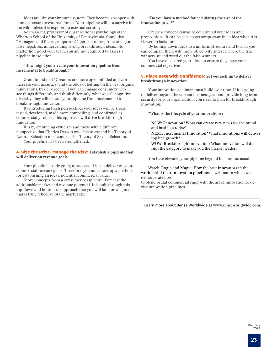Ideas are like your immune system. They become stronger with more exposure to external forces. Your pipeline will not survive in the wild unless it is exposed to external scrutiny.

Adam Grant, professor of organizational psychology at the Wharton School of the University of Pennsylvania, found that "Managers and focus groups are 55 percent more prone to major false negatives, undervaluing strong breakthrough ideas." No matter how good your team, you are not equipped to assess a pipeline in isolation.

#### **"How might you elevate your innovation pipeline from incremental to breakthrough?**"

Grant found that "Creators are more open minded and can increase your accuracy, and the odds of betting on the best original innovations, by 65 percent." If you can engage consumers who see things differently and think differently, what we call cognitive diversity, they will elevate your pipeline from incremental to breakthrough innovation.

By introducing fresh perspectives your ideas will be stress tested, developed, made more compelling, and confirmed as commercially robust. This approach will drive breakthrough innovation.

It is by embracing criticism and those with a different perspective that Charles Darwin was able to expand his Theory of Natural Selection to encompass his Theory of Sexual Selection.

Your pipeline has been strengthened.

#### 4. Size the Prize. Manage the Risk: Establish a pipeline that will deliver on revenue goals

Your pipeline is only going to succeed if it can deliver on your commercial revenue goals. Therefore, you must develop a method for establishing an idea's potential commercial value.

Score concepts from a consumer perspective. Forecast the addressable market and revenue potential. It is only through this top-down and bottom-up approach that you will land on a figure that is truly reflective of the market size.

#### **"Do you have a method for calculating the size of the innovation prize?"**

Create a concept canvas to equalize all your ideas and propositions. It can be easy to get swept away in an idea when it is viewed in isolation.

By boiling down ideas to a uniform structure and format you can compare them with more objectivity and see where the true winners sit and weed out the false winners.

You have measured your ideas to ensure they meet your commercial objectives.

#### 5. Place Bets with Confidence: Set yourself up to deliver breakthrough innovation

Your innovation roadmap must build over time. If it is going to deliver beyond the current business year and provide long term security for your organization, you need to plan for breakthrough innovation.

**"What is the lifecycle of your innovations?"**

- NOW: Renovation? What can create new news for the brand and business today?
- NEXT: Incremental Innovation? What innovations will deliver top line growth?
- WOW: Breakthrough Innovation? What innovation will disrupt the category to make you the market leader?

You have elevated your pipeline beyond business as usual.

#### Watch ['Logic and Magic: How the best innovators in the](https://innovation.senseworldwide.com/prioritise-pipeline-webinar-rewatch?utm_source=innovation_leader&utm_medium=referral&utm_campaign=Pointers&utm_content=pipeline_webinar)  [world build their innovation pipelines'](https://innovation.senseworldwide.com/prioritise-pipeline-webinar-rewatch?utm_source=innovation_leader&utm_medium=referral&utm_campaign=Pointers&utm_content=pipeline_webinar) a webinar in which we demonstrate how

to blend brutal commercial rigor with the art of innovation to derisk innovation pipelines.

Learn more about Sense Worldwide at [www.senseworldwide.com](https://www.senseworldwide.com).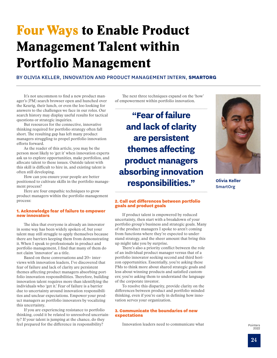# <span id="page-23-0"></span>Four Ways to Enable Product Management Talent within Portfolio Management

BY OLIVIA KELLER, INNOVATION AND PRODUCT MANAGEMENT INTERN, **SMARTORG**

It's not uncommon to find a new product manager's (PM) search browser open and hunched over the Keurig, their lunch, or even the loo looking for answers to the challenges we face in our roles. Our search history may display useful results for tactical questions or strategic inquiries.

But resources for the connective, innovative thinking required for portfolio strategy often fall short. The resulting gap has left many product managers struggling to propel portfolio innovation efforts forward.

As the reader of this article, you may be the person most likely to 'get it' when innovation experts ask us to explore opportunities, make portfolios, and allocate talent to these issues. Outside talent with this skill is difficult to hire in, and existing talent is often still developing.

How can you ensure your people are better positioned to cultivate skills in the portfolio management process?

Here are four empathic techniques to grow product managers within the portfolio management process:

#### 1. Acknowledge fear of failure to empower new innovators

The idea that everyone is already an innovator in some way has been widely spoken of, but your talent may still struggle to apply themselves because there are barriers keeping them from demonstrating it. When I speak to professionals in product and portfolio management, I find that many of them do not claim 'innovator' as a title.

Based on these conversations and 20+ interviews with innovation leaders, I've discovered that fear of failure and lack of clarity are persistent themes affecting product managers absorbing portfolio innovation responsibilities. Therefore, building innovation talent requires more than identifying the individuals who 'get it.' Fear of failure is a barrier due to uncertainty around innovation responsibilities and unclear expectations. Empower your product managers as portfolio innovators by vocalizing this uncertainty.

If you are experiencing resistance to portfolio thinking, could it be related to unresolved uncertainty? If your talent is jumping at the chance, do they feel prepared for the difference in responsibility?

The next three techniques expand on the 'how' of empowerment within portfolio innovation.

**"Fear of failure and lack of clarity are persistent themes affecting product managers absorbing innovation responsibilities."**



**Olivia Keller SmartOrg** 

#### 2. Call out differences between portfolio goals and product goals

If product talent is empowered by reduced uncertainty, then start with a breakdown of your portfolio group's business and strategic goals. Many of the product managers I spoke to aren't coming from functions where they're expected to understand strategy, and the sheer amount that bring this up might take you by surprise.

There's also a priority conflict between the role of an individual product manager versus that of a portfolio innovator seeking second and third horizon opportunities. Essentially, you're asking these PMs to think more about shared strategic goals and less about winning products and satisfied customers; you're asking them to understand the language of the corporate investor.

To resolve this disparity, provide clarity on the differences between product and portfolio-minded thinking, even if you're early in defining how innovation serves your organization.

#### 3. Communicate the boundaries of new expectations

Innovation leaders need to communicate what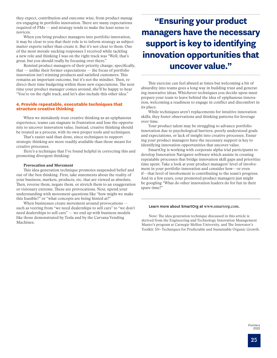they expect, contribution and outcome-wise, from product managers engaging in portfolio innovation. There are many expectations required of PMs — and strategy tends to make the least sense to novices.

When you bring product managers into portfolio innovation, it may be clear to you that their role is to inform strategy as subject matter experts rather than create it. But it's not clear to them. One of the most morale-sucking responses I received while tackling a new role and thinking I was on the right track was "Well, that's great, but you should really be focusing over there."

Remind product managers of their priority change, specifically, that — unlike their former expectations — the focus of portfolio innovation isn't winning products and satisfied customers. This remains an important outcome, but it's not the mindset. Then, redirect their time budgeting within these new expectations. The next time your product manager comes around, she'll be happy to hear "You're on the right track, and let's also include this other idea."

#### 4. Provide repeatable, executable techniques that structure creative thinking

When we mistakenly treat creative thinking as an epiphanous experience, teams can stagnate in frustration and lose the opportunity to uncover innovation value. Instead, creative thinking should be treated as a process, with its own proper tools and techniques.

That's easier said than done, since techniques to support strategic thinking are more readily available than those meant for creative processes.

Here's a technique that I've found helpful in correcting this and promoting divergent thinking:

#### Provocation and Movement

This idea generation technique promotes suspended belief and out-of-the-box thinking. First, take statements about the reality of your business, markets, products, etc. that are viewed as absolute. Then, reverse them, negate them, or stretch them to an exaggeration or visionary extreme. These are provocations. Next, upend your understanding with movement questions like "how might we make this feasible?" or "what concepts are being hinted at?"

When businesses create movement around provocations such as veering from "we need dealerships to sell cars" to "we don't need dealerships to sell cars" — we end up with business models like those demonstrated by Tesla and by the Carvana Vending Machines.

## **"Ensuring your product managers have the necessary support is key to identifying innovation opportunities that uncover value."**

This exercise can feel absurd at times but welcoming a bit of absurdity into teams goes a long way in building trust and generating innovative ideas. Whichever techniques you decide upon must prepare your team to leave behind the idea of epiphanous innovation, welcoming a readiness to engage in conflict and discomfort in its place.

While techniques aren't replacements for intuitive innovation skills, they foster observations and thinking patterns for leverage over time.

Your product talent may be struggling to advance portfolio innovation due to psychological barriers, poorly understood goals and expectations, or lack of insight into creative processes. Ensuring your product managers have the necessary support is key to identifying innovation opportunities that uncover value.

SmartOrg is working with corporate alpha trial participants to develop Innovation Navigator software which assists in creating repeatable processes that bridge innovation skill gaps and prioritize time spent. Take a look at your product managers' level of involvement in your portfolio innovation and consider how—or even if—that level of involvement is contributing to the team's progress. And in a few years, your promoted product managers just might be googling "What do other innovation leaders do for fun in their spare time?"

#### Learn more about SmartOrg at [www.s](http://www.smartorg.com)martorg.com.

Note: The idea generation technique discussed in this article is derived from the Engineering and Technology Innovation Management Master's program at Carnegie Mellon University, and The Innovator's Toolkit: 50+ Techniques for Predictable and Sustainable Organic Growth.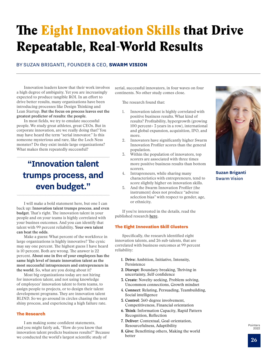# <span id="page-25-0"></span>The **Eight Innovation Skills that Drive** Repeatable, Real-World Results

### BY SUZAN BRIGANTI, FOUNDER & CEO, **SWARM VISION**

Innovation leaders know that their work involves a high degree of ambiguity. Yet you are increasingly expected to produce tangible ROI. In an effort to drive better results, many organizations have been introducing processes like Design Thinking and Lean Startup. **But the focus on process leaves out the greatest predictor of results: the people.**

In most fields, we try to emulate successful people. We study great athletes, great CEOs. But in corporate innovation, are we really doing that? You may have heard the term "serial innovator." Is this someone mysterious and rare, like the Loch Ness monster? Do they exist inside large organizations? What makes them repeatedly successful?

**"Innovation talent trumps process, and even budget."**

I will make a bold statement here, but one I can back up: **Innovation talent trumps process, and even budget.** That's right. The innovation talent in your people and on your teams is highly correlated with your busines outcomes. And you can identify that talent with 99 percent reliability. **Your own talent can beat the odds.**

Make a guess: What percent of the workforce in large organizations is highly innovative? The cynic may say one percent. The highest guess I have heard is 10 percent. Both are wrong. The answer is 22 percent. **About one in five of your employees has the same high level of innate innovation talent as the most successful intrapreneurs and entrepreneurs in the world.** So, what are you doing about it?

Most big organizations today are not hiring for innovation talent, and not using knowledge of employees' innovation talent to form teams, to assign people to projects, or to design their talent development programs. They are innovation talent BLIND. So we go around in circles chasing the next shiny process, and experiencing a high failure rate.

#### The Research

I am making some confident statements, and you might fairly ask, "How do you know that innovation talent predicts business results?" Because we conducted the world's largest scientific study of

serial, successful innovators, in four waves on four continents. No other study comes close.

The research found that:

- 1. Innovation talent is highly correlated with positive business results. What kind of results? Profitability, hypergrowth (growing 100 percent+ 3 years in a row), international and global expansion, acquisition, IPO, and more.
- 2. Innovators have significantly higher Swarm Innovation Profiler scores than the general population.
- 3. Within the population of innovators, top scorers are associated with three times more positive business results than bottom scorers.
- 4. Intrapreneurs, while sharing many characteristics with entrepreneurs, tend to score slightly higher on innovation skills.
- 5. And the Swarm Innovation Profiler (the instrument) does not produce "adverse selection bias" with respect to gender, age, or ethnicity.

If you're interested in the details, read the published research [here](https://cdn2.hubspot.net/hubfs/3223330/Innovation Talent as a Predictor of Business Results_Published.pdf).

#### The Eight Innovation Skill Clusters

Specifically, the research identified eight innovation talents, and 26 sub-talents, that are correlated with business outcomes at 99 percent reliability:

- **1. Drive:** Ambition, Initiative, Intensity, Persistence
- **2. Disrupt:** Boundary-breaking, Thriving in uncertainty, Self-confidence
- **3. Create:** Novelty-seeking, Problem-solving, Uncommon connections, Growth mindset
- **4. Connect:** Relating, Persuading, Teambuilding, Social intelligence
- **5. Control:** 360-degree involvement, Competitiveness, Financial orientation
- **6. Think:** Information Capacity, Rapid Pattern Recognition, Reflection
- **7. Deliver:** Contextual, Goal-orientation, Resourcefulness, Adaptibility
- **8. Give:** Benefitting others, Making the world better



**Suzan Briganti** Swarm Vision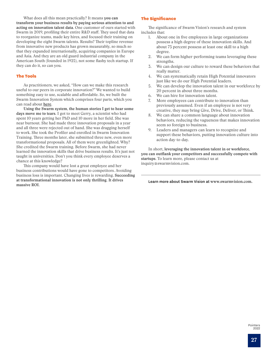What does all this mean practically? It means **you can transform your business results by paying serious attention to and acting on innovation talent data.** One customer of ours started with Swarm in 2019, profiling their entire R&D staff. They used that data to reorganize teams, made key hires, and focused their training on developing the eight Swarm talents. Results? Their topline revenue from innovative new products has grown measurably, so much so that they expanded internationally, acquiring companies in Europe and Asia. And they are an old guard industrial company in the American South (founded in 1925), not some flashy tech startup. If they can do it, so can you.

#### The Tools

As practitioners, we asked, "How can we make this research useful to our peers in corporate innovation?" We wanted to build something easy to use, scalable and affordable. So, we built the Swarm Innovation System which comprises four parts, which you can read about [here](https://www.swarmvision.com/).

**Using the Swarm system, the human stories I get to hear some days move me to tears**. I got to meet Gerry, a scientist who had spent 10 years getting her PhD and 10 more in her field. She was near burnout. She had made three innovation proposals in a year and all three were rejected out of hand. She was dragging herself to work. She took the Profiler and enrolled in Swarm Innovation Training. Three months later, she submitted three new, even more transformational proposals. All of them were greenlighted. Why? She credited the Swarm training. Before Swarm, she had never learned the innovation skills that drive business results. It's just not taught in universities. Don't you think every employee deserves a chance at this knowledge?

This company would have lost a great employee and her business contributions would have gone to competitors. Avoiding business loss is important. Changing lives is rewarding. **Succeeding at transformational innovation is not only thrilling. It drives massive ROI.**

#### The Significance

The significance of Swarm Vision's research and system includes that:

- 1. About one in five employees in large organizations possess a high degree of these innovation skills. And about 75 percent possess at least one skill to a high degree.
- 2. We can form higher-performing teams leveraging these strengths.
- 3. We can design our culture to reward these behaviors that really matter.
- 4. We can systematically retain High Potential innovators just like we do our High Potential leaders.
- 5. We can develop the innovation talent in our workforce by 20 percent in about three months.
- 6. We can hire for innovation talent.
- 7. More employees can contribute to innovation than previously assumed. Even if an employee is not very creative, they may bring Give, Drive, Deliver, or Think.
- 8. We can share a common language about innovation behaviors, reducing the vagueness that makes innovation seem so foreign to business.
- 9. Leaders and managers can learn to recognize and support these behaviors, putting innovation culture into action day-to-day.

In short, **leveraging the innovation talent in or workforce, you can outflank your competitors and successfully compete with startups.** To learn more, please contact us at [inquiry@swarmvision.com.](mailto:inquiry%40swarmvision.com?subject=)

Learn more about Swarm Vision at [www.](https://www.swarmvision.com/)swarmvision.com.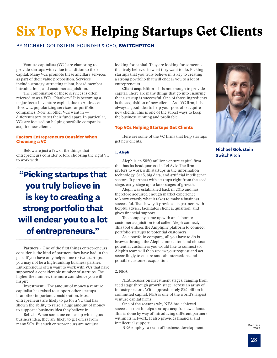# <span id="page-27-0"></span>Six Top VCs Helping Startups Get Clients

### BY MICHAEL GOLDSTEIN, FOUNDER & CEO, **SWITCHPITCH**

Venture capitalists (VCs) are clamoring to provide startups with value in addition to their capital. Many VCs promote these ancillary services as part of their value proposition. Services include strategy, attracting talent, board member introductions, and customer acquisition.

The combination of these services is often referred to as a VC's "Platform." It is becoming a major focus in venture capital, due to Andreesen Horowitz popularizing services for portfolio companies. Now, all other VCs want in differentiators to set their fund apart. In particular, VCs are focused on helping portfolio companies acquire new clients.

#### Factors Entrepreneurs Consider When Choosing a VC

Below are just a few of the things that entrepreneurs consider before choosing the right VC to work with.

**"Picking startups that you truly believe in is key to creating a strong portfolio that will endear you to a lot of entrepreneurs."**

**Partners** – One of the first things entrepreneurs consider is the kind of partners they have had in the past. If you have only helped one or two startups, you may not be a high-ranking business partner. Entrepreneurs often want to work with VCs that have supported a considerable number of startups. The higher the number, the more confidence you will inspire.

**Investment** – The amount of money a venture capitalist has raised to support other startups is another important consideration. Most entrepreneurs are likely to go for a VC that has shown the ability to raise a huge amount of money to support a business idea they believe in.

**Belief** – When someone comes up with a good business idea, they are likely to get offers from many VCs. But such entrepreneurs are not just

looking for capital. They are looking for someone that truly believes in what they want to do. Picking startups that you truly believe in is key to creating a strong portfolio that will endear you to a lot of entrepreneurs.

**Client acquisition** – It is not enough to provide capital. There are many things that go into ensuring that a startup is successful. One of those ingredients is the acquisition of new clients. As a VC firm, it is always a good idea to help your portfolio acquire new clients. This is one of the surest ways to keep the business running and profitable.

#### Top VCs Helping Startups Get Clients

Here are some of the VC firms that help startups get new clients.

#### **1. Aleph**

Aleph is an \$850 million venture capital firm that has its headquarters in Tel Aviv. The firm prefers to work with startups in the information technology, SaaS, big data, and artificial intelligence sectors. It partners with startups right from the seed stage, early-stage up to later stages of growth.

Aleph was established back in 2013 and has therefore acquired enough market experience to know exactly what it takes to make a business successful. That is why it provides its partners with helpful advice, facilitates client acquisition, and gives financial support.

The company came up with an elaborate customer acquisition tool called Aleph connect. This tool utilizes the Ampliphy platform to connect portfolio startups to potential customers.

As a portfolio company, all you have to do is browse through the Aleph connect tool and choose potential customers you would like to connect to. Aleph's team will then review your request and act accordingly to ensure smooth interactions and possible customer acquisition.

#### **2. NEA**

NEA focuses on investment stages, ranging from seed stage through growth stage, across an array of industry sectors. With approximately \$25 billion in committed capital, NEA is one of the world's largest venture capital firms.

One of the reasons why NEA has achieved success is that it helps startups acquire new clients. This is done by way of introducing different partners within its network. It also provides financial and intellectual support.

NEA employs a team of business development



**Michael Goldstein SwitchPitch**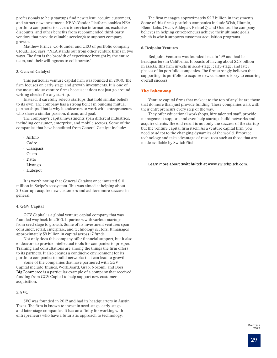professionals to help startups find new talent, acquire customers, and attract new investment. NEA's Vendor Platform enables NEA portfolio companies to access to service information, exclusive discounts, and other benefits from recommended third-party vendors that provide valuable service(s) to support company growth.

Matthew Prince, Co-founder and CEO of portfolio company CloudFlare, says: "NEA stands out from other venture firms in two ways. The first is the breadth of experience brought by the entire team, and their willingness to collaborate."

#### **3. General Catalyst**

This particular venture capital firm was founded in 2000. The firm focuses on early-stage and growth investments. It is one of the most unique venture firms because it does not just go around writing checks for any startup.

Instead, it carefully selects startups that hold similar beliefs to its own. The company has a strong belief in building mutual partnerships. That is why it endeavors to work with entrepreneurs who share a similar passion, dream, and goal.

The company's capital investments span different industries, including consumer, enterprise, and mobile sectors. Some of the companies that have benefitted from General Catalyst include:

- Airbnb
- Cadre
- Classpass
- Gusto
- Datto
- Livongo
- Hubspot

It is worth noting that General Catalyst once invested \$10 million in Stripe's ecosystem. This was aimed at helping about 20 startups acquire new customers and achieve more success in general.

#### **4. GGV Capital**

GGV Capital is a global venture capital company that was founded way back in 2000. It partners with various startups from seed stage to growth. Some of its investment ventures span consumer, retail, enterprise, and technology sectors. It manages approximately \$9 billion in capital across 17 funds.

Not only does this company offer financial support, but it also endeavors to provide intellectual tools for companies to prosper. Training and consultations are among the things the firm offers to its partners. It also creates a conducive environment for its portfolio companies to build networks that can lead to growth.

Some of the companies that have partnered with GGV Capital include Thunes, WorkBoard, Grab, Nozomi, and Boss. [BigCommerce](https://www.businesswire.com/news/home/20160510005414/en/BigCommerce-Secures-30-Million-in-Financing-Led-by-GGV-Capital) is a particular example of a company that received funding from GGV Capital to help support new customer acquisition.

#### **5. 8VC**

8VC was founded in 2012 and had its headquarters in Austin, Texas. The firm is known to invest in seed-stage, early-stage, and later-stage companies. It has an affinity for working with entrepreneurs who have a futuristic approach to technology.

The firm manages approximately \$2.7 billion in investments. Some of this firm's portfolio companies include Wish, Illumio, Blend Labs, Oscar, Addepar, RelateIQ, and Oculus. The company believes in helping entrepreneurs achieve their ultimate goals, which is why it supports customer acquisition programs.

#### **6. Redpoint Ventures**

Redpoint Ventures was founded back in 199 and had its headquarters in California. It boasts of having about \$3.8 billion in assets. This firm invests in seed-stage, early-stage, and later phases of its portfolio companies. The firm strongly believes that supporting its portfolio to acquire new customers is key to ensuring overall success.

#### The Takeaway

Venture capital firms that make it to the top of any list are those that do more than just provide funding. These companies walk with their entrepreneurs every step of the way.

They offer educational workshops, hire talented staff, provide management support, and even help startups build networks and acquire clients. The end result is not only the success of the startup but the venture capital firm itself. As a venture capital firm, you need to adapt to the changing dynamics of the world. Embrace technology and take advantage of resources such as those that are made available by SwitchPitch.

Learn more about SwitchPitch at [www.](https://switchpitch.com/)switchpitch.com.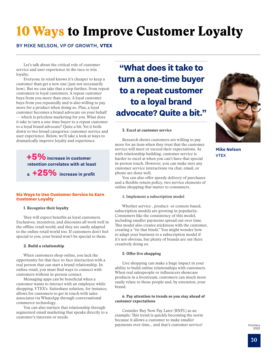# <span id="page-29-0"></span>10 Ways to Improve Customer Loyalty

### BY MIKE NELSON, VP OF GROWTH, **VTEX**

Let's talk about the critical role of customer service and user experience in the race to win loyalty.

Everyone in retail knows it's cheaper to keep a customer than get a new one (just not necessarily how). But we can take that a step further, from repeat customers to loyal customers. A repeat customer buys from you more than once. A loyal customer buys from you repeatedly and is also willing to pay more for a product when doing so. Plus, a loyal customer becomes a brand advocate on your behalf — which is priceless marketing for you. What does it take to turn a one-time buyer to a repeat customer to a loyal brand advocate? Quite a bit. Yet it boils down to two broad categories: customer service and user experience. Below, we'll take a look at ways to dramatically improve loyalty and experience.

> **+5%increase in customer retention correlates with at least a +25% increase in profit**

#### Six Ways to Use Customer Service to Earn Customer Loyalty

#### 1. Recognize their loyalty

They will expect benefits as loyal customers. Exclusives, incentives, and discounts all work well in the offline retail world, and they are easily adapted to the online retail world too. If customers don't feel special to you, your brand won't be special to them.

#### 2. Build a relationship

When customers shop online, you lack the opportunity for that face-to-face interaction with a real person that can start a brand relationship. In online retail, you must find ways to connect with customers without in-person contact.

Messaging apps can be beneficial when a customer wants to interact with an employee while shopping. VTEX's Suiteshare solution, for instance, allows for customers to get in touch with sales associates via WhatsApp through conversational commerce technology.

You can also nurture that relationship through segmented email marketing that speaks directly to a customer's interests or needs.

**"What does it take to turn a one-time buyer to a repeat customer to a loyal brand advocate? Quite a bit."** 

#### 3. Excel at customer service

Research shows customers are willing to pay more for an item when they trust that the customer service will meet or exceed their expectations. As with relationship building, customer service is harder to excel at when you can't have that special in-person touch. However, you can make sure any customer service interactions via chat, email, or phone are done well.

You can also offer speedy delivery of purchases and a flexible return policy, two service elements of online shopping that matter to consumers.

#### **4. Implement a subscription model**

Whether service-, product- or content-based, subscription models are growing in popularity. Consumers like the consistency of this model, including smaller payments spread out over time. This model also creates stickiness with the customer, creating a "tie that binds." You might wonder how to adapt your business to a subscription model if it's not obvious, but plenty of brands are out there creatively doing so.

#### 5. Offer live shopping

Live shopping can make a huge impact in your ability to build online relationships with customers. When real salespeople or influencers showcase products in a livestream, customers can much more easily relate to those people and, by extension, your brand.

#### 6. Pay attention to trends so you stay ahead of customer expectations

Consider Buy Now Pay Later (BNPL) as an example: This trend is quickly becoming the norm because it allows a customer to make smaller payments over time… and that's customer service!



**Mike Nelson VTEX**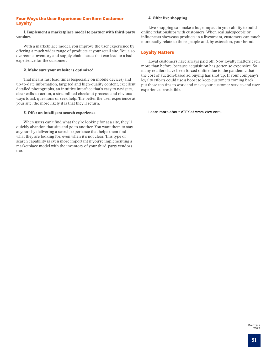#### Four Ways the User Experience Can Earn Customer Loyalty

#### 1. Implement a marketplace model to partner with third-party vendors

With a marketplace model, you improve the user experience by offering a much wider range of products at your retail site. You also overcome inventory and supply chain issues that can lead to a bad experience for the customer.

#### 2. Make sure your website is optimized

That means fast load times (especially on mobile devices) and up-to-date information, targeted and high-quality content, excellent detailed photographs, an intuitive interface that's easy to navigate, clear calls-to-action, a streamlined checkout process, and obvious ways to ask questions or seek help. The better the user experience at your site, the more likely it is that they'll return.

#### 3. Offer an intelligent search experience

When users can't find what they're looking for at a site, they'll quickly abandon that site and go to another. You want them to stay at yours by delivering a search experience that helps them find what they are looking for, even when it's not clear. This type of search capability is even more important if you're implementing a marketplace model with the inventory of your third-party vendors too.

#### 4. Offer live shopping

Live shopping can make a huge impact in your ability to build online relationships with customers. When real salespeople or influencers showcase products in a livestream, customers can much more easily relate to those people and, by extension, your brand.

### Loyalty Matters

Loyal customers have always paid off. Now loyalty matters even more than before, because acquisition has gotten so expensive. So many retailers have been forced online due to the pandemic that the cost of auction-based ad buying has shot up. If your company's loyalty efforts could use a boost to keep customers coming back, put these ten tips to work and make your customer service and user experience irresistible.

Learn more about VTEX at [www.v](http://www.vtex.com)tex.com.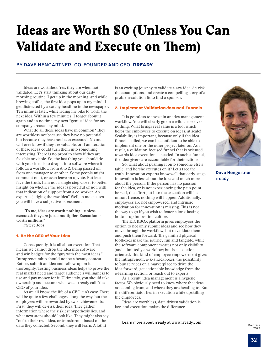# <span id="page-31-0"></span>Ideas are Worth \$0 (Unless You Can Validate and Execute on Them)

#### BY DAVE HENGARTNER, CO-FOUNDER AND CEO, **RREADY**

Ideas are worthless. Yes, they are when not validated. Let's start thinking about our daily morning routine. I get up in the morning, and while brewing coffee, the first idea pops up in my mind. I get distracted by a catchy headline in the newspaper. Ten minutes later, while riding my bike to work, the next idea. Within a few minutes, I forget about it again and in no time, my next "genius" idea for my company crosses my mind.

What do all these ideas have in common? They are worthless not because they have no potential, but because they have not been executed. No one will ever know if they are valuable, or if an iteration of these ideas could turn them into something interesting. There is no proof to show if they are feasible or viable. So, the last thing you should do with your idea is to drop it into software where it follows a workflow from A to Z, being passed on from one manager to another. Some people might comment on it, or even leave an upvote. But let's face the truth: I am not a single step closer to better insight on whether the idea is powerful or not, with that indication of support from a co-worker. An expert is judging the raw idea? Well, in most cases you will have a subjective assessment.

**"To me, ideas are worth nothing… unless executed; they are just a multiplier. Execution is worth millions."** 

//Steve Jobs

#### 1. Be the CEO of Your Idea

Consequently, it is all about execution. That means we cannot drop the idea into software and win badges for the "guy with the most ideas." Intrapreneurship should not be a beauty contest. Rather, submit an idea and follow-up on it thoroughly. Testing business ideas helps to prove the real market need and target audience's willingness to use and pay money for it. Ultimately, you should take ownership and become what we at rready call "the CEO of your idea."

As we all know, the life of a CEO ain't easy. There will be quite a few challenges along the way, but the employees will be rewarded by two achievements: First, they will de-risk their idea. They gather information where the riskiest hypothesis lies, and what next steps should look like. They might also say "no" to their own idea, or transform it based on the data they collected. Second, they will learn. A lot! It

is an exciting journey to validate a raw idea, de-risk the assumptions, and create a compelling story of a problem-solution fit to find a sponsor.

#### 2. Implement Validation-focused Funnels

It is pointless to invest in an idea management workflow. You will clearly go on a wild chase over nothing. What brings real value is a tool which helps the employees to execute on ideas, at scale! Scalability is important, because only if the idea funnel is filled, we can be confident to be able to implement one or the other project later on. As a result, a validation-focused funnel that is oriented towards idea execution is needed. In such a funnel, the idea givers are accountable for their actions.

So, what about pushing it onto someone else's table, and he/she executes on it? Let's face the truth. Innovation experts know well that early-stage innovation is less about the idea and much more about the person. If the person has no passion for the idea, or is not experiencing the pain point herself, the effort put into the execution will be minor. Hence, nothing will happen. Additionally, employees are not empowered, and intrinsic motivation for innovation is missing. This is not the way to go if you wish to foster a long-lasting, bottom-up innovation culture.

The KICKBOX platform gives employees the option to not only submit ideas and see how they move through the workflow, but to validate them and push them forward. The gamified physical toolboxes make the journey fun and tangible, while the software component creates not only visibility (and admittedly a workflow) but is also actionoriented. This kind of employee empowerment gives the intrapreneur, a/k/a Kickboxer, the possibility to buy services on a marketplace to drive the idea forward, get actionable knowledge from the e-learning section, or reach out to experts.

As a result, idea management is a hygiene factor. We obviously need to know where the ideas are coming from, and where they are heading to. But the differentiator lies in execution while upskilling the employees.

Ideas are worthless, data-driven validation is key, and execution makes the difference.

Learn more about rready at [www.](https://www.rready.com)rready.com.



**Dave Hengartner** rready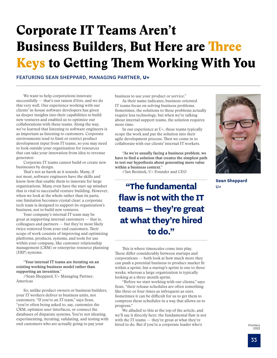# Corporate IT Teams Aren't Business Builders, But Here are Three Keys to Getting Them Working With You

FEATURING SEAN SHEPPARD, MANAGING PARTNER, **U+**

We want to help corporations innovate successfully — that's our raison d'être, and we do this very well. Our experience working with our clients' in-house software developers has given us deeper insights into their capabilities to build new ventures and enabled us to optimize our collaborations with these teams. Along the way, we've learned that listening to software engineers is as important as listening to customers. Corporate environments tend to limit or restrict product development input from IT teams, so you may need to look outside your organization for resources that can take your innovation from idea to revenue generator.

Corporate IT teams cannot build or create new businesses by design.

That's not as harsh as it sounds. Many, if not most, software engineers have the skills and know-how that enable them to innovate for large organizations. Many even have the start-up mindset that is vital to successful venture-building. However, when we look at the whole rather than its parts, one limitation becomes crystal clear: a corporate tech team is designed to support its organization's business, not to build new ventures.

Your company's internal IT team may be great at supporting internal customers — that is, colleagues and partners — but they're most likely twice removed from your end customers. Their scope of work consists of improving and optimizing platforms, products, systems, and tools for use within your company, like customer relationship management (CRM) or enterprise resource planning (ERP) systems.

**"Your internal IT teams are iterating on an existing working business model rather than supporting an invention."**

//Sean Sheppard, U+ Managing Partner, Americas

So, unlike product owners or business builders, your IT workers deliver to business units, not customers. "If you're an IT team," says Sean, "you're often being asked to, say, customize the CRM, optimize user interfaces, or connect the databases of disparate systems. You're not ideating, experimenting, iterating, validating, and testing with end customers who are actually going to pay your

business to use your product or service."

As their name indicates, business-oriented IT teams focus on solving business problems. Sometimes, the solutions to these problems actually require less technology, but when we're talking about internal support teams, the solution requires more time.

In our experience at U+, these teams typically scope the work and put the solution into their agile development process. Then we come in to collaborate with our clients' internal IT workers.

**"As we're usually facing a business problem, we have to find a solution that creates the simplest path to test our hypothesis about generating more value within a business context."**

//Jan Beránek, U+ Founder and CEO

**"The fundamental flaw is not with the IT teams — they're great at what they're hired to do."**

This is where timescales come into play. These differ considerably between startups and corporations — both look at how much more they can push a potential business to product-market fit within a sprint, but a startup's sprint is one to three weeks, whereas a large organization is typically looking at a three-month sprint.

"Before we start working with our clients," says Sean, "their release schedules are often something like three or four times as infrequent as ours. Sometimes it can be difficult for us to get them to compress these schedules in a way that allows us to progress."

We alluded to this at the top of the article, and we'll say it directly here: the fundamental flaw is not with the IT teams — they're great at what they're hired to do. But if you're a corporate leader who's



**Sean Sheppard**  $U+$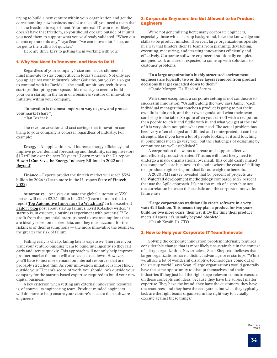trying to build a new venture within your organization and get the corresponding new business model to take off, you need a team that has the freedom to experiment. Your internal IT team most likely doesn't have that freedom, so you should operate outside of it until you need them to support what you've already validated. "When our clients operate this way," says Sean, "we can move a lot faster, and we get to the truth a lot quicker."

Here are three keys to getting them working with you:

#### 1. Why You Need to Innovate, and How to Do It

Regardless of your company's size and successfulness, it must innovate to stay competitive in today's market. Not only are you up against your industry's other Goliaths, but you've also got to contend with its Davids — the small, ambitious, tech-driven startups disrupting your space. This means you need to build your own startup in the form of a business venture or innovation initiative within your company.

**"Innovation is the most important way to grow and protect your market share."**

//Jan Beránek

The revenue creation and cost savings that innovation can bring to your company is colossal, regardless of industry. For example:

Energy—AI applications will increase energy efficiency and improve power demand forecasting and flexibility, saving investors \$1.3 trillion over the next 30 years.<sup>1</sup> (Learn more in the U+ report [How AI Can Save the Energy Industry Billions in 2022 and](https://innovate.u.plus/ai-save-energy-industry-billions-in-2022)  [Beyond](https://innovate.u.plus/ai-save-energy-industry-billions-in-2022))

Finance—Experts predict the fintech market will reach \$324 billion by 2026.<sup>2</sup> (Learn more in the U+ report **<u>State of Fintech</u>** [2022](https://innovate.u.plus/state-of-fintech-2022-report))

Automotive—Analysts estimate the global automotive V2X market will reach \$2.25 billion in 2025.3 (Learn more in the U+ report [Top Automotive Innovators To Watch List\)](https://innovate.u.plus/automotive-top-innovators) In his excellent [Failory blog](https://www.failory.com/blog) post about startup failures, Kyril Kotashev writes, "a startup is, in essence, a business experiment with potential."4 To profit from that potential, startups need to test assumptions that are ideally based on market data, and they must account for the riskiness of their assumptions — the more innovative the business, the greater the risk of failure.

Failing early is cheap, failing late is expensive. Therefore, you want your venture-building team to build intelligently so they fail early and iterate quickly. This approach will not only help improve product-market fit, but it will also keep costs down. However, you'll have to increase demand on internal resources that are probably stretched thin. As your innovation initiative is most likely outside your IT team's scope of work, you should look outside your company for the startup-based expertise required to build your new digital business.

A key criterion when vetting any external innovation resource is, of course, its engineering team. Product-minded engineers will do more to help ensure your venture's success than software engineers.

#### 2. Corporate Engineers Are Not Allowed to be Product **Engineers**

We're not generalizing here; many corporate engineers, especially those with a startup background, have the knowledge and skills to be product minded. However, large organizations operate in a way that hinders their IT teams from planning, developing, executing, measuring, and iterating innovations efficiently and effectively. Corporate software engineers traditionally complete assigned work and aren't expected to come up with solutions to customer problems.

**"In a large organization's highly structured environment, engineers are typically two or three layers removed from product decisions that get cascaded down to them."**

//Jamie Morgon, U+ Head of Scrum

With some exceptions, a corporate setting is not conducive to successful innovation. "Usually, along the way," says Jamie, "each individual manager that touches a product is going to put their own little spin on it, and their own agenda, and what their team can bring to the table. So quite often you start off with a recipe and then people touch it and fiddle with it, and what you get at the end of it is very often not quite what you need. The actual problem has been very often changed and diluted and reinterpreted. It can be a strength, like if you have a lot of people looking at it and touching it. Sometimes it can go very well, but the challenges of designing by committee are well established."

A corporation that wants to create and support effective and efficient product-oriented IT teams will most likely need to undergo a major organizational overhaul. This could easily impact the company's core business to the point where the costs of shifting to a product engineering mindset far outweigh the benefits.

A 2020 PMI survey revealed that 56 percent of projects use the [Waterfall development methodology](https://www.forbes.com/advisor/business/agile-vs-waterfall-methodology/) compared to 22 percent that use the Agile approach. It's not too much of a stretch to see the correlation between this statistic and the corporate innovation failure rate.

**"Large corporations traditionally create software in a very waterfall fashion. This means they plan a product for two years, build for two more years, then test it. By the time their product meets all specs, it's usually beyond obsolete."**

//Jakub Kovář, U+ CTO

#### 3. How to Help your Corporate IT Team Innovate

Solving the corporate innovation problem internally requires considerable change that is most likely unsustainable in the context of a large organization. Nevertheless, Sean Sheppard believes that larger organizations have a distinct advantage over startups. "While we all see a lot of wonderful disruptive technologies come out of the startup world," says Sean, "Large organizations would generally have the same opportunity to disrupt themselves and their industries if they just had the right stage-relevant teams to execute on these concepts and ideas, because they have the subject matter expertise. They have the brand, they have the customers, they have the resources, and they have the ecosystem, but what they typically lack are the right teams organized in the right way to actually execute against these things."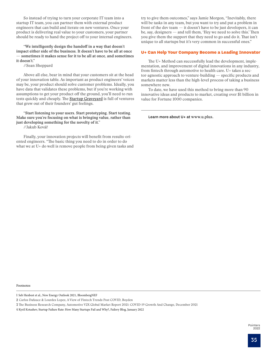So instead of trying to turn your corporate IT team into a startup IT team, you can partner them with external product engineers that can build and iterate on new ventures. Once your product is delivering real value to your customers, your partner should be ready to hand the project off to your internal engineers.

**"We intelligently design the handoff in a way that doesn't impact either side of the business. It doesn't have to be all at once — sometimes it makes sense for it to be all at once, and sometimes it doesn't."**

//Sean Sheppard

Above all else, bear in mind that your customers sit at the head of your innovation table. As important as product engineers' voices may be, your product should solve customer problems. Ideally, you have data that validates these problems, but if you're working with assumptions to get your product off the ground, you'll need to run tests quickly and cheaply. The [Startup Graveyard](https://startupgraveyard.io/) is full of ventures that grew out of their founders' gut feelings.

**"Start listening to your users. Start prototyping. Start testing. Make sure you're focusing on what is bringing value, rather than just developing something for the novelty of it."**

//Jakub Kovář

Finally, your innovation projects will benefit from results-oriented engineers. "The basic thing you need to do in order to do what we at U+ do well is remove people from being given tasks and

try to give them outcomes," says Jamie Morgon, "Inevitably, there will be tasks in any team, but you want to try and put a problem in front of the dev team — it doesn't have to be just developers, it can be, say, designers — and tell them, 'Hey we need to solve this.' Then you give them the support that they need to go and do it. That isn't unique to all startups but it's very common in successful ones."

#### U+ Can Help Your Company Become a Leading Innovator

The U+ Method can successfully lead the development, implementation, and improvement of digital innovations in any industry, from fintech through automotive to health care. U+ takes a sector-agnostic approach to venture-building — specific products and markets matter less than the high-level process of taking a business somewhere new.

To date, we have used this method to bring more than 90 innovative ideas and products to market, creating over \$1 billion in value for Fortune 1000 companies.

Learn more about U+ at [www.u.plus](https://u.plus/).

Footnotes

1 Seb Henbest et al., New Energy Outlook 2021, BloombergNEF

<sup>2</sup> Carlos Dafauce & Lourdes Lopez, A View of Fintech Trends Post COVID, Boyden

<sup>3</sup> The Business Research Company, Automotive V2X Global Market Report 2021: COVID-19 Growth And Change, December 2021

<sup>4</sup> Kyril Kotashev, Startup Failure Rate: How Many Startups Fail and Why?, Failory Blog, January 2022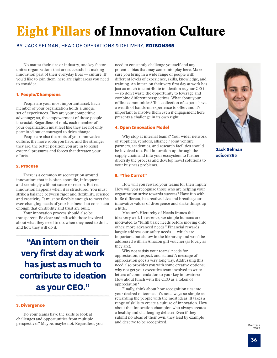# <span id="page-35-0"></span>Eight Pillars of Innovation Culture

### BY JACK SELMAN, HEAD OF OPERATIONS & DELIVERY, **EDISON365**

No matter their size or industry, one key factor unites organizations that are successful at making innovation part of their everyday lives — culture. If you'd like to join them, here are eight areas you need to consider.

#### 1. People/Champions

People are your most important asset. Each member of your organization holds a unique set of experiences. They are your competitive advantage; so, the empowerment of those people is crucial. Regardless of rank, each member of your organization must feel like they are not only permitted but encouraged to drive change.

People are also the roots of your innovative culture; the more roots you have, and the stronger they are, the better position you are in to resist external pressures and forces that threaten your efforts.

#### 2. Process

There is a common misconception around innovation: that it is often sporadic, infrequent, and seemingly without cause or reason. But real innovation happens when it is structured. You must strike a balance between rigor and flexibility, science and creativity. It must be flexible enough to meet the ever-changing needs of your business, but consistent enough that credibility and trust are built.

Your innovation process should also be transparent. Be clear and talk with those involved about what they need to do, when they need to do it, and how they will do it.

**"An intern on their very first day at work has just as much to contribute to ideation as your CEO."**

#### 3. Divergence

Do your teams have the skills to look at challenges and opportunities from multiple perspectives? Maybe, maybe not. Regardless, you

need to constantly challenge yourself and any potential bias that may come into play here. Make sure you bring in a wide range of people with different levels of experience, skills, knowledge, and training. An intern on their very first day at work has just as much to contribute to ideation as your CEO so don't waste the opportunity to leverage and combine different perspectives. What about your offline communities? This collection of experts have a wealth of hands-on experience to offer; and it's important to involve them even if engagement here presents a challenge in its own right.

#### 4. Open Innovation Model

Why stop at internal teams? Your wider network of suppliers, vendors, alliance / joint venture partners, academics, and research facilities should be involved too. Pull innovation up through the supply chain and into your ecosystem to further diversify the process and develop novel solutions to your business problems.

#### 5. "The Carrot"

How will you reward your teams for their input? How will you recognize those who are helping your organization strive towards success? Have fun with it! Be different, be creative. Live and breathe your innovative values of divergence and shake things up a little.

Maslow's Hierarchy of Needs frames this idea very well. In essence, we simple humans are motivated to "fulfill basic needs before moving onto other, more advanced needs." Financial rewards largely address our safety needs — which are important, but sit low in the hierarchy and won't be addressed with an Amazon gift voucher (as lovely as they are).

Why not satisfy your teams' needs for appreciation, respect, and status? A message of appreciation goes a very long way. Addressing this need also provides you with some creative options; why not get your executive team involved to write letters of commendation to your key innovators? How about lunch with the CEO as a token of appreciation?

Finally, think about how recognition ties into your desired outcomes. It's not always so simple as rewarding the people with the most ideas. It takes a range of skills to create a culture of innovation. How about that innovation champion who always creates a healthy and challenging debate? Even if they submit no ideas of their own, they lead by example and deserve to be recognized.



**Jack Selman** edison365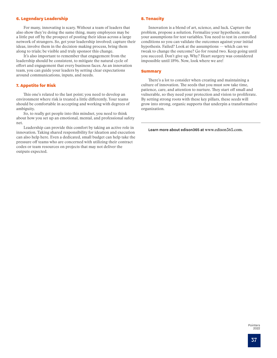#### 6. Legendary Leadership

For many, innovating is scary. Without a team of leaders that also show they're doing the same thing, many employees may be a little put off by the prospect of posting their ideas across a large network of strangers. So, get your leadership involved; capture their ideas, involve them in the decision-making process, bring them along to trials; be visible and truly sponsor this change.

It's also important to remember that engagement from the leadership should be consistent, to mitigate the natural cycle of effort and engagement that every business faces. As an innovation team, you can guide your leaders by setting clear expectations around communications, inputs, and needs.

#### 7. Appetite for Risk

This one's related to the last point; you need to develop an environment where risk is treated a little differently. Your teams should be comfortable in accepting and working with degrees of ambiguity.

So, to really get people into this mindset, you need to think about how you set up an emotional, mental, and professional safety net.

Leadership can provide this comfort by taking an active role in innovation. Taking shared responsibility for ideation and execution can also help here. Even a dedicated, small budget can help take the pressure off teams who are concerned with utilizing their contract codes or team resources on projects that may not deliver the outputs expected.

#### 8. Tenacity

Innovation is a blend of art, science, and luck. Capture the problem, propose a solution. Formalize your hypothesis, state your assumptions for test variables. You need to test in controlled conditions so you can validate the outcomes against your initial hypothesis. Failed? Look at the assumptions — which can we tweak to change the outcome? Go for round two. Keep going until you succeed. Don't give up. Why? Heart surgery was considered impossible until 1896. Now, look where we are!

#### **Summary**

There's a lot to consider when creating and maintaining a culture of innovation. The seeds that you must sow take time, patience, care, and attention to nurture. They start off small and vulnerable, so they need your protection and vision to proliferate. By setting strong roots with these key pillars, these seeds will grow into strong, organic supports that underpin a transformative organization.

Learn more about edison365 at [www.edison365.c](http://www.edison365.com)om.